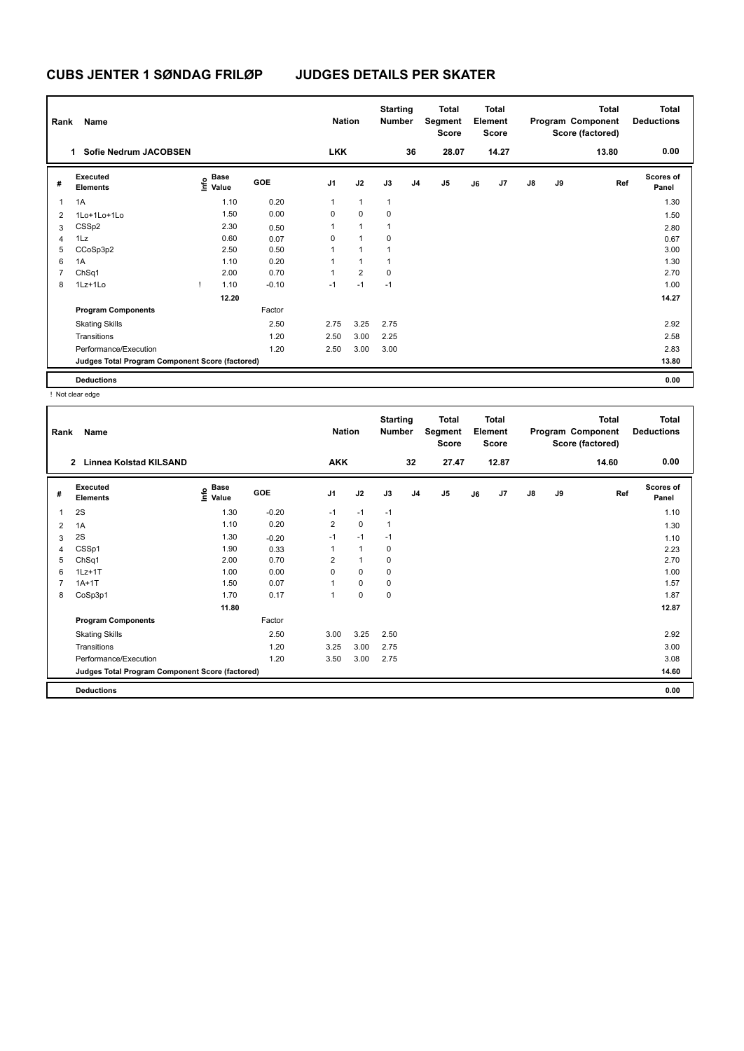| Rank           | Name                                            |                                           |            | <b>Nation</b>  |                | <b>Starting</b><br><b>Number</b> |                | <b>Total</b><br>Segment<br><b>Score</b> |    | <b>Total</b><br>Element<br><b>Score</b> |               |    | <b>Total</b><br>Program Component<br>Score (factored) | Total<br><b>Deductions</b> |
|----------------|-------------------------------------------------|-------------------------------------------|------------|----------------|----------------|----------------------------------|----------------|-----------------------------------------|----|-----------------------------------------|---------------|----|-------------------------------------------------------|----------------------------|
|                | Sofie Nedrum JACOBSEN<br>1.                     |                                           |            | <b>LKK</b>     |                |                                  | 36             | 28.07                                   |    | 14.27                                   |               |    | 13.80                                                 | 0.00                       |
| #              | Executed<br><b>Elements</b>                     | $\frac{6}{5}$ Base<br>$\frac{6}{5}$ Value | <b>GOE</b> | J <sub>1</sub> | J2             | J3                               | J <sub>4</sub> | J <sub>5</sub>                          | J6 | J7                                      | $\mathsf{J}8$ | J9 | Ref                                                   | <b>Scores of</b><br>Panel  |
| $\mathbf{1}$   | 1A                                              | 1.10                                      | 0.20       | 1              | $\mathbf{1}$   | $\overline{1}$                   |                |                                         |    |                                         |               |    |                                                       | 1.30                       |
| $\overline{2}$ | 1Lo+1Lo+1Lo                                     | 1.50                                      | 0.00       | 0              | $\mathbf 0$    | 0                                |                |                                         |    |                                         |               |    |                                                       | 1.50                       |
| 3              | CSSp2                                           | 2.30                                      | 0.50       | 1              | $\overline{1}$ | 1                                |                |                                         |    |                                         |               |    |                                                       | 2.80                       |
| $\overline{4}$ | 1Lz                                             | 0.60                                      | 0.07       | 0              | $\overline{1}$ | 0                                |                |                                         |    |                                         |               |    |                                                       | 0.67                       |
| 5              | CCoSp3p2                                        | 2.50                                      | 0.50       |                | $\overline{1}$ |                                  |                |                                         |    |                                         |               |    |                                                       | 3.00                       |
| 6              | 1A                                              | 1.10                                      | 0.20       |                | $\overline{1}$ |                                  |                |                                         |    |                                         |               |    |                                                       | 1.30                       |
|                | ChSq1                                           | 2.00                                      | 0.70       | 4              | $\overline{2}$ | 0                                |                |                                         |    |                                         |               |    |                                                       | 2.70                       |
| 8              | 1Lz+1Lo                                         | 1.10                                      | $-0.10$    | $-1$           | $-1$           | $-1$                             |                |                                         |    |                                         |               |    |                                                       | 1.00                       |
|                |                                                 | 12.20                                     |            |                |                |                                  |                |                                         |    |                                         |               |    |                                                       | 14.27                      |
|                | <b>Program Components</b>                       |                                           | Factor     |                |                |                                  |                |                                         |    |                                         |               |    |                                                       |                            |
|                | <b>Skating Skills</b>                           |                                           | 2.50       | 2.75           | 3.25           | 2.75                             |                |                                         |    |                                         |               |    |                                                       | 2.92                       |
|                | Transitions                                     |                                           | 1.20       | 2.50           | 3.00           | 2.25                             |                |                                         |    |                                         |               |    |                                                       | 2.58                       |
|                | Performance/Execution                           |                                           | 1.20       | 2.50           | 3.00           | 3.00                             |                |                                         |    |                                         |               |    |                                                       | 2.83                       |
|                | Judges Total Program Component Score (factored) |                                           |            |                |                |                                  |                |                                         |    |                                         |               |    |                                                       | 13.80                      |
|                | <b>Deductions</b>                               |                                           |            |                |                |                                  |                |                                         |    |                                         |               |    |                                                       | 0.00                       |

! Not clear edge

| Rank           | Name                                            |                                             |            | <b>Nation</b>  |              | <b>Starting</b><br><b>Number</b> |                | <b>Total</b><br>Segment<br>Score |    | <b>Total</b><br>Element<br><b>Score</b> |               |    | <b>Total</b><br>Program Component<br>Score (factored) | <b>Total</b><br><b>Deductions</b> |
|----------------|-------------------------------------------------|---------------------------------------------|------------|----------------|--------------|----------------------------------|----------------|----------------------------------|----|-----------------------------------------|---------------|----|-------------------------------------------------------|-----------------------------------|
|                | $\mathbf{2}$<br><b>Linnea Kolstad KILSAND</b>   |                                             |            | <b>AKK</b>     |              |                                  | 32             | 27.47                            |    | 12.87                                   |               |    | 14.60                                                 | 0.00                              |
| #              | <b>Executed</b><br><b>Elements</b>              | <b>Base</b><br>e <sup>Base</sup><br>⊆ Value | <b>GOE</b> | J <sub>1</sub> | J2           | J3                               | J <sub>4</sub> | J <sub>5</sub>                   | J6 | J7                                      | $\mathsf{J}8$ | J9 | Ref                                                   | <b>Scores of</b><br>Panel         |
| 1              | 2S                                              | 1.30                                        | $-0.20$    | $-1$           | $-1$         | $-1$                             |                |                                  |    |                                         |               |    |                                                       | 1.10                              |
| 2              | 1A                                              | 1.10                                        | 0.20       | $\overline{2}$ | $\mathbf 0$  | $\mathbf{1}$                     |                |                                  |    |                                         |               |    |                                                       | 1.30                              |
| 3              | 2S                                              | 1.30                                        | $-0.20$    | $-1$           | $-1$         | $-1$                             |                |                                  |    |                                         |               |    |                                                       | 1.10                              |
| 4              | CSSp1                                           | 1.90                                        | 0.33       | 1              | $\mathbf{1}$ | 0                                |                |                                  |    |                                         |               |    |                                                       | 2.23                              |
| 5              | ChSq1                                           | 2.00                                        | 0.70       | $\overline{2}$ | $\mathbf{1}$ | 0                                |                |                                  |    |                                         |               |    |                                                       | 2.70                              |
| 6              | $1Lz+1T$                                        | 1.00                                        | 0.00       | 0              | 0            | 0                                |                |                                  |    |                                         |               |    |                                                       | 1.00                              |
| $\overline{7}$ | $1A+1T$                                         | 1.50                                        | 0.07       | $\mathbf{1}$   | $\mathbf 0$  | 0                                |                |                                  |    |                                         |               |    |                                                       | 1.57                              |
| 8              | CoSp3p1                                         | 1.70                                        | 0.17       | 1              | 0            | 0                                |                |                                  |    |                                         |               |    |                                                       | 1.87                              |
|                |                                                 | 11.80                                       |            |                |              |                                  |                |                                  |    |                                         |               |    |                                                       | 12.87                             |
|                | <b>Program Components</b>                       |                                             | Factor     |                |              |                                  |                |                                  |    |                                         |               |    |                                                       |                                   |
|                | <b>Skating Skills</b>                           |                                             | 2.50       | 3.00           | 3.25         | 2.50                             |                |                                  |    |                                         |               |    |                                                       | 2.92                              |
|                | Transitions                                     |                                             | 1.20       | 3.25           | 3.00         | 2.75                             |                |                                  |    |                                         |               |    |                                                       | 3.00                              |
|                | Performance/Execution                           |                                             | 1.20       | 3.50           | 3.00         | 2.75                             |                |                                  |    |                                         |               |    |                                                       | 3.08                              |
|                | Judges Total Program Component Score (factored) |                                             |            |                |              |                                  |                |                                  |    |                                         |               |    |                                                       | 14.60                             |
|                | <b>Deductions</b>                               |                                             |            |                |              |                                  |                |                                  |    |                                         |               |    |                                                       | 0.00                              |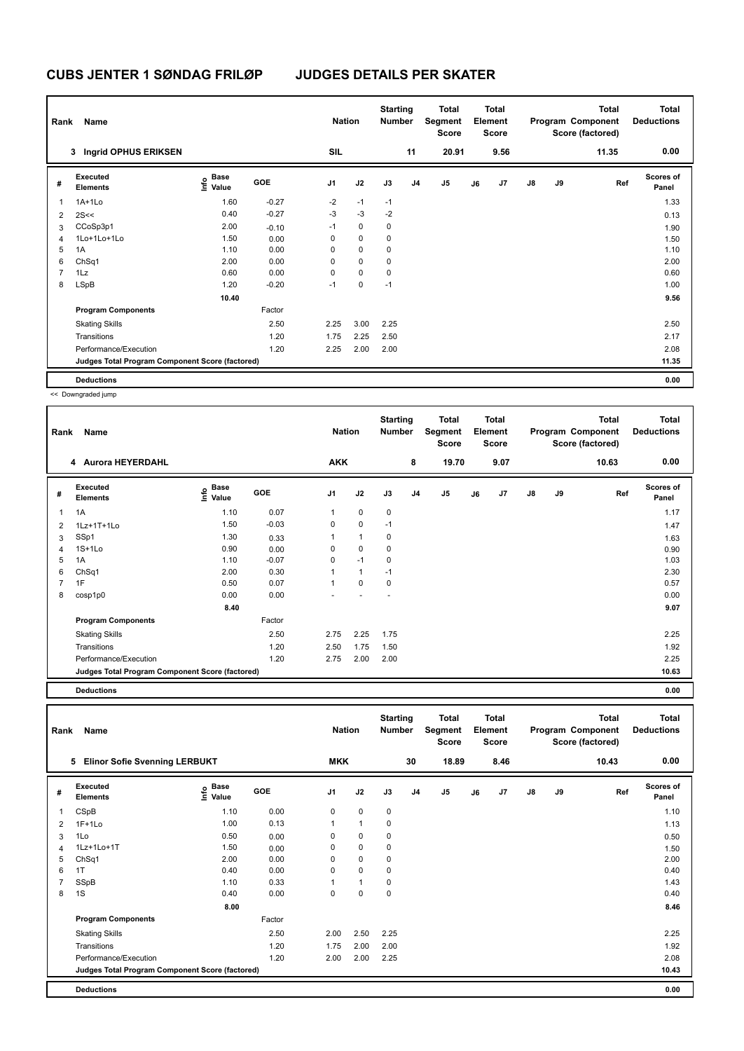| Rank | Name                                            |                                    |         | <b>Nation</b>  |             | <b>Starting</b><br><b>Number</b> |                | <b>Total</b><br>Segment<br><b>Score</b> |    | <b>Total</b><br>Element<br><b>Score</b> |    |    | <b>Total</b><br>Program Component<br>Score (factored) | <b>Total</b><br><b>Deductions</b> |
|------|-------------------------------------------------|------------------------------------|---------|----------------|-------------|----------------------------------|----------------|-----------------------------------------|----|-----------------------------------------|----|----|-------------------------------------------------------|-----------------------------------|
|      | 3 Ingrid OPHUS ERIKSEN                          |                                    |         | SIL            |             |                                  | 11             | 20.91                                   |    | 9.56                                    |    |    | 11.35                                                 | 0.00                              |
| #    | Executed<br><b>Elements</b>                     | <b>Base</b><br>$\frac{6}{5}$ Value | GOE     | J <sub>1</sub> | J2          | J3                               | J <sub>4</sub> | J <sub>5</sub>                          | J6 | J7                                      | J8 | J9 | Ref                                                   | <b>Scores of</b><br>Panel         |
| 1    | $1A+1Lo$                                        | 1.60                               | $-0.27$ | $-2$           | $-1$        | $-1$                             |                |                                         |    |                                         |    |    |                                                       | 1.33                              |
| 2    | 2S<<                                            | 0.40                               | $-0.27$ | $-3$           | $-3$        | $-2$                             |                |                                         |    |                                         |    |    |                                                       | 0.13                              |
| 3    | CCoSp3p1                                        | 2.00                               | $-0.10$ | $-1$           | $\mathbf 0$ | 0                                |                |                                         |    |                                         |    |    |                                                       | 1.90                              |
| 4    | 1Lo+1Lo+1Lo                                     | 1.50                               | 0.00    | 0              | $\mathbf 0$ | 0                                |                |                                         |    |                                         |    |    |                                                       | 1.50                              |
| 5    | 1A                                              | 1.10                               | 0.00    | 0              | 0           | 0                                |                |                                         |    |                                         |    |    |                                                       | 1.10                              |
| 6    | ChSq1                                           | 2.00                               | 0.00    | 0              | $\mathbf 0$ | 0                                |                |                                         |    |                                         |    |    |                                                       | 2.00                              |
| 7    | 1Lz                                             | 0.60                               | 0.00    | 0              | $\mathbf 0$ | 0                                |                |                                         |    |                                         |    |    |                                                       | 0.60                              |
| 8    | <b>LSpB</b>                                     | 1.20                               | $-0.20$ | $-1$           | 0           | $-1$                             |                |                                         |    |                                         |    |    |                                                       | 1.00                              |
|      |                                                 | 10.40                              |         |                |             |                                  |                |                                         |    |                                         |    |    |                                                       | 9.56                              |
|      | <b>Program Components</b>                       |                                    | Factor  |                |             |                                  |                |                                         |    |                                         |    |    |                                                       |                                   |
|      | <b>Skating Skills</b>                           |                                    | 2.50    | 2.25           | 3.00        | 2.25                             |                |                                         |    |                                         |    |    |                                                       | 2.50                              |
|      | Transitions                                     |                                    | 1.20    | 1.75           | 2.25        | 2.50                             |                |                                         |    |                                         |    |    |                                                       | 2.17                              |
|      | Performance/Execution                           |                                    | 1.20    | 2.25           | 2.00        | 2.00                             |                |                                         |    |                                         |    |    |                                                       | 2.08                              |
|      | Judges Total Program Component Score (factored) |                                    |         |                |             |                                  |                |                                         |    |                                         |    |    |                                                       | 11.35                             |
|      | <b>Deductions</b>                               |                                    |         |                |             |                                  |                |                                         |    |                                         |    |    |                                                       | 0.00                              |

<< Downgraded jump

| Rank         | Name                                            |                                            |         | <b>Nation</b>  |             | <b>Starting</b><br><b>Number</b> |                | <b>Total</b><br>Segment<br><b>Score</b> |    | <b>Total</b><br>Element<br><b>Score</b> |               |    | Total<br>Program Component<br>Score (factored) | <b>Total</b><br><b>Deductions</b> |
|--------------|-------------------------------------------------|--------------------------------------------|---------|----------------|-------------|----------------------------------|----------------|-----------------------------------------|----|-----------------------------------------|---------------|----|------------------------------------------------|-----------------------------------|
|              | 4 Aurora HEYERDAHL                              |                                            |         | <b>AKK</b>     |             |                                  | 8              | 19.70                                   |    | 9.07                                    |               |    | 10.63                                          | 0.00                              |
| #            | <b>Executed</b><br><b>Elements</b>              | Base<br>$\mathop{\mathsf{Inflo}}$<br>Value | GOE     | J <sub>1</sub> | J2          | J3                               | J <sub>4</sub> | J5                                      | J6 | J7                                      | $\mathsf{J}8$ | J9 | Ref                                            | <b>Scores of</b><br>Panel         |
| $\mathbf{1}$ | 1A                                              | 1.10                                       | 0.07    | 1              | $\mathbf 0$ | $\mathbf 0$                      |                |                                         |    |                                         |               |    |                                                | 1.17                              |
| 2            | 1Lz+1T+1Lo                                      | 1.50                                       | $-0.03$ | 0              | $\mathbf 0$ | $-1$                             |                |                                         |    |                                         |               |    |                                                | 1.47                              |
| 3            | SSp1                                            | 1.30                                       | 0.33    | 1              | 1           | $\mathbf 0$                      |                |                                         |    |                                         |               |    |                                                | 1.63                              |
| 4            | $1S+1Lo$                                        | 0.90                                       | 0.00    | 0              | 0           | 0                                |                |                                         |    |                                         |               |    |                                                | 0.90                              |
| 5            | 1A                                              | 1.10                                       | $-0.07$ | 0              | $-1$        | $\mathbf 0$                      |                |                                         |    |                                         |               |    |                                                | 1.03                              |
| 6            | ChSq1                                           | 2.00                                       | 0.30    | 1              | 1           | $-1$                             |                |                                         |    |                                         |               |    |                                                | 2.30                              |
| 7            | 1F                                              | 0.50                                       | 0.07    | 1              | 0           | $\mathbf 0$                      |                |                                         |    |                                         |               |    |                                                | 0.57                              |
| 8            | cosp1p0                                         | 0.00                                       | 0.00    |                |             |                                  |                |                                         |    |                                         |               |    |                                                | 0.00                              |
|              |                                                 | 8.40                                       |         |                |             |                                  |                |                                         |    |                                         |               |    |                                                | 9.07                              |
|              | <b>Program Components</b>                       |                                            | Factor  |                |             |                                  |                |                                         |    |                                         |               |    |                                                |                                   |
|              | <b>Skating Skills</b>                           |                                            | 2.50    | 2.75           | 2.25        | 1.75                             |                |                                         |    |                                         |               |    |                                                | 2.25                              |
|              | Transitions                                     |                                            | 1.20    | 2.50           | 1.75        | 1.50                             |                |                                         |    |                                         |               |    |                                                | 1.92                              |
|              | Performance/Execution                           |                                            | 1.20    | 2.75           | 2.00        | 2.00                             |                |                                         |    |                                         |               |    |                                                | 2.25                              |
|              | Judges Total Program Component Score (factored) |                                            |         |                |             |                                  |                |                                         |    |                                         |               |    |                                                | 10.63                             |

**Deductions 0.00**

**Total Deductions Total Program Component Score (factored) Total Element Segment Score Total Score Starting Rank Name Nation Number # Executed Elements Base Value GOE J1 J2 J3 J4 J5 J6 J7 J8 J9 Scores of Panel** 1 CSpB 1.10 0.00 0 0 0 **Ref**  CSpB 1.10 **Info 5 Elinor Sofie Svenning LERBUKT MKK 30 18.89 8.46 10.43 0.00** 2 1F+1Lo 1.13 1.10 0.13 1 1 0 1.13 1.13 1.13  $3$  1Lo  $3.50$   $0.50$   $0.00$   $0$   $0$   $0$   $0$   $0$   $0$   $0$   $0.50$   $0.50$   $0.50$ 4 1Lz+1Lo+1T 1.50 0.00 0 0 0 1.50 5 ChSq1 2.00 0.00 0 0 0 2.00 6 1T 0.40 0.00 0 0 0 0.40 7 SSpB 1.10 0.33 1 1 0 1.43 8 1S 0.40 0.00 0 0 0 0.40  **8.00 8.46 Program Components**  Skating Skills 2.50 2.00 2.50 2.25 Factor 2.50 2.25 Transitions 1.20 1.75 2.00 2.00 1.92 Performance/Execution 1.20 2.00 2.00 2.25 2.08 2.08 2.00 2.25 **Deductions 0.00 Judges Total Program Component Score (factored) 10.43**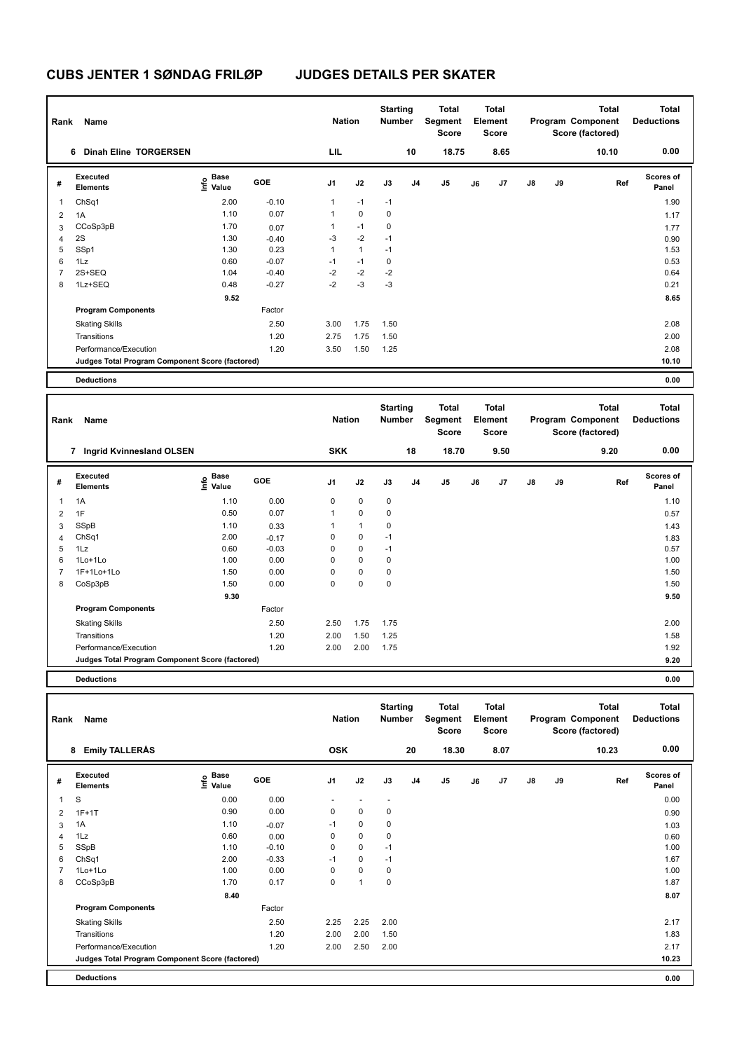| Rank | Name                                            |                                  |         | <b>Nation</b>  |              | <b>Starting</b><br><b>Number</b> |    | Total<br>Segment<br><b>Score</b> |    | <b>Total</b><br>Element<br><b>Score</b> |               |    | <b>Total</b><br>Program Component<br>Score (factored) | <b>Total</b><br><b>Deductions</b> |
|------|-------------------------------------------------|----------------------------------|---------|----------------|--------------|----------------------------------|----|----------------------------------|----|-----------------------------------------|---------------|----|-------------------------------------------------------|-----------------------------------|
|      | 6 Dinah Eline TORGERSEN                         |                                  |         | LIL            |              |                                  | 10 | 18.75                            |    | 8.65                                    |               |    | 10.10                                                 | 0.00                              |
| #    | Executed<br><b>Elements</b>                     | <b>Base</b><br>e Base<br>⊆ Value | GOE     | J <sub>1</sub> | J2           | J3                               | J4 | J5                               | J6 | J7                                      | $\mathsf{J}8$ | J9 | Ref                                                   | <b>Scores of</b><br>Panel         |
| 1    | ChSq1                                           | 2.00                             | $-0.10$ | 1              | $-1$         | $-1$                             |    |                                  |    |                                         |               |    |                                                       | 1.90                              |
| 2    | 1A                                              | 1.10                             | 0.07    | 1              | $\mathbf 0$  | 0                                |    |                                  |    |                                         |               |    |                                                       | 1.17                              |
| 3    | CCoSp3pB                                        | 1.70                             | 0.07    |                | $-1$         | 0                                |    |                                  |    |                                         |               |    |                                                       | 1.77                              |
| 4    | 2S                                              | 1.30                             | $-0.40$ | $-3$           | $-2$         | $-1$                             |    |                                  |    |                                         |               |    |                                                       | 0.90                              |
| 5    | SSp1                                            | 1.30                             | 0.23    | 1              | $\mathbf{1}$ | $-1$                             |    |                                  |    |                                         |               |    |                                                       | 1.53                              |
| 6    | 1Lz                                             | 0.60                             | $-0.07$ | $-1$           | $-1$         | 0                                |    |                                  |    |                                         |               |    |                                                       | 0.53                              |
| 7    | 2S+SEQ                                          | 1.04                             | $-0.40$ | $-2$           | $-2$         | $-2$                             |    |                                  |    |                                         |               |    |                                                       | 0.64                              |
| 8    | 1Lz+SEQ                                         | 0.48                             | $-0.27$ | $-2$           | $-3$         | $-3$                             |    |                                  |    |                                         |               |    |                                                       | 0.21                              |
|      |                                                 | 9.52                             |         |                |              |                                  |    |                                  |    |                                         |               |    |                                                       | 8.65                              |
|      | <b>Program Components</b>                       |                                  | Factor  |                |              |                                  |    |                                  |    |                                         |               |    |                                                       |                                   |
|      | <b>Skating Skills</b>                           |                                  | 2.50    | 3.00           | 1.75         | 1.50                             |    |                                  |    |                                         |               |    |                                                       | 2.08                              |
|      | Transitions                                     |                                  | 1.20    | 2.75           | 1.75         | 1.50                             |    |                                  |    |                                         |               |    |                                                       | 2.00                              |
|      | Performance/Execution                           |                                  | 1.20    | 3.50           | 1.50         | 1.25                             |    |                                  |    |                                         |               |    |                                                       | 2.08                              |
|      | Judges Total Program Component Score (factored) |                                  |         |                |              |                                  |    |                                  |    |                                         |               |    |                                                       | 10.10                             |
|      | <b>Deductions</b>                               |                                  |         |                |              |                                  |    |                                  |    |                                         |               |    |                                                       | 0.00                              |

| Rank | Name                                            |                                  |            | <b>Nation</b>  |                | <b>Starting</b><br><b>Number</b> |                | <b>Total</b><br>Segment<br><b>Score</b> |    | <b>Total</b><br>Element<br><b>Score</b> |               |    | <b>Total</b><br>Program Component<br>Score (factored) | <b>Total</b><br><b>Deductions</b> |
|------|-------------------------------------------------|----------------------------------|------------|----------------|----------------|----------------------------------|----------------|-----------------------------------------|----|-----------------------------------------|---------------|----|-------------------------------------------------------|-----------------------------------|
|      | Ingrid Kvinnesland OLSEN<br>7                   |                                  |            | <b>SKK</b>     |                |                                  | 18             | 18.70                                   |    | 9.50                                    |               |    | 9.20                                                  | 0.00                              |
| #    | Executed<br><b>Elements</b>                     | <b>Base</b><br>o Base<br>⊆ Value | <b>GOE</b> | J <sub>1</sub> | J2             | J3                               | J <sub>4</sub> | J <sub>5</sub>                          | J6 | J <sub>7</sub>                          | $\mathsf{J}8$ | J9 | Ref                                                   | Scores of<br>Panel                |
| 1    | 1A                                              | 1.10                             | 0.00       | $\mathbf 0$    | $\mathbf 0$    | 0                                |                |                                         |    |                                         |               |    |                                                       | 1.10                              |
| 2    | 1F                                              | 0.50                             | 0.07       | $\mathbf{1}$   | $\pmb{0}$      | 0                                |                |                                         |    |                                         |               |    |                                                       | 0.57                              |
| 3    | SSpB                                            | 1.10                             | 0.33       |                | $\overline{1}$ | 0                                |                |                                         |    |                                         |               |    |                                                       | 1.43                              |
| 4    | ChSq1                                           | 2.00                             | $-0.17$    | 0              | $\pmb{0}$      | $-1$                             |                |                                         |    |                                         |               |    |                                                       | 1.83                              |
| 5    | 1Lz                                             | 0.60                             | $-0.03$    | 0              | $\mathbf 0$    | $-1$                             |                |                                         |    |                                         |               |    |                                                       | 0.57                              |
| 6    | 1Lo+1Lo                                         | 1.00                             | 0.00       | $\mathbf 0$    | $\mathbf 0$    | 0                                |                |                                         |    |                                         |               |    |                                                       | 1.00                              |
|      | 1F+1Lo+1Lo                                      | 1.50                             | 0.00       | 0              | $\mathbf 0$    | 0                                |                |                                         |    |                                         |               |    |                                                       | 1.50                              |
| 8    | CoSp3pB                                         | 1.50                             | 0.00       | $\mathbf 0$    | $\pmb{0}$      | $\mathbf 0$                      |                |                                         |    |                                         |               |    |                                                       | 1.50                              |
|      |                                                 | 9.30                             |            |                |                |                                  |                |                                         |    |                                         |               |    |                                                       | 9.50                              |
|      | <b>Program Components</b>                       |                                  | Factor     |                |                |                                  |                |                                         |    |                                         |               |    |                                                       |                                   |
|      | <b>Skating Skills</b>                           |                                  | 2.50       | 2.50           | 1.75           | 1.75                             |                |                                         |    |                                         |               |    |                                                       | 2.00                              |
|      | Transitions                                     |                                  | 1.20       | 2.00           | 1.50           | 1.25                             |                |                                         |    |                                         |               |    |                                                       | 1.58                              |
|      | Performance/Execution                           |                                  | 1.20       | 2.00           | 2.00           | 1.75                             |                |                                         |    |                                         |               |    |                                                       | 1.92                              |
|      | Judges Total Program Component Score (factored) |                                  |            |                |                |                                  |                |                                         |    |                                         |               |    |                                                       | 9.20                              |
|      |                                                 |                                  |            |                |                |                                  |                |                                         |    |                                         |               |    |                                                       |                                   |

| Rank | Name                                            |                                  |         | <b>Nation</b>  |                          | <b>Starting</b><br><b>Number</b> |                | Total<br>Segment<br><b>Score</b> |    | <b>Total</b><br>Element<br><b>Score</b> |    |    | <b>Total</b><br>Program Component<br>Score (factored) | <b>Total</b><br><b>Deductions</b> |
|------|-------------------------------------------------|----------------------------------|---------|----------------|--------------------------|----------------------------------|----------------|----------------------------------|----|-----------------------------------------|----|----|-------------------------------------------------------|-----------------------------------|
|      | <b>Emily TALLERÅS</b><br>8                      |                                  |         | <b>OSK</b>     |                          |                                  | 20             | 18.30                            |    | 8.07                                    |    |    | 10.23                                                 | 0.00                              |
| #    | <b>Executed</b><br><b>Elements</b>              | <b>Base</b><br>e Base<br>⊆ Value | GOE     | J <sub>1</sub> | J2                       | J3                               | J <sub>4</sub> | J <sub>5</sub>                   | J6 | J <sub>7</sub>                          | J8 | J9 | Ref                                                   | <b>Scores of</b><br>Panel         |
| 1    | S                                               | 0.00                             | 0.00    | ٠              | $\overline{\phantom{a}}$ | $\overline{\phantom{a}}$         |                |                                  |    |                                         |    |    |                                                       | 0.00                              |
| 2    | $1F+1T$                                         | 0.90                             | 0.00    | 0              | 0                        | 0                                |                |                                  |    |                                         |    |    |                                                       | 0.90                              |
| 3    | 1A                                              | 1.10                             | $-0.07$ | $-1$           | $\mathbf 0$              | 0                                |                |                                  |    |                                         |    |    |                                                       | 1.03                              |
| 4    | 1Lz                                             | 0.60                             | 0.00    | 0              | $\mathbf 0$              | 0                                |                |                                  |    |                                         |    |    |                                                       | 0.60                              |
| 5    | SSpB                                            | 1.10                             | $-0.10$ | 0              | $\mathbf 0$              | $-1$                             |                |                                  |    |                                         |    |    |                                                       | 1.00                              |
| 6    | ChSq1                                           | 2.00                             | $-0.33$ | $-1$           | $\mathbf 0$              | $-1$                             |                |                                  |    |                                         |    |    |                                                       | 1.67                              |
|      | 1Lo+1Lo                                         | 1.00                             | 0.00    | 0              | $\Omega$                 | 0                                |                |                                  |    |                                         |    |    |                                                       | 1.00                              |
| 8    | CCoSp3pB                                        | 1.70                             | 0.17    | 0              | 1                        | 0                                |                |                                  |    |                                         |    |    |                                                       | 1.87                              |
|      |                                                 | 8.40                             |         |                |                          |                                  |                |                                  |    |                                         |    |    |                                                       | 8.07                              |
|      | <b>Program Components</b>                       |                                  | Factor  |                |                          |                                  |                |                                  |    |                                         |    |    |                                                       |                                   |
|      | <b>Skating Skills</b>                           |                                  | 2.50    | 2.25           | 2.25                     | 2.00                             |                |                                  |    |                                         |    |    |                                                       | 2.17                              |
|      | Transitions                                     |                                  | 1.20    | 2.00           | 2.00                     | 1.50                             |                |                                  |    |                                         |    |    |                                                       | 1.83                              |
|      | Performance/Execution                           |                                  | 1.20    | 2.00           | 2.50                     | 2.00                             |                |                                  |    |                                         |    |    |                                                       | 2.17                              |
|      | Judges Total Program Component Score (factored) |                                  |         |                |                          |                                  |                |                                  |    |                                         |    |    |                                                       | 10.23                             |
|      | <b>Deductions</b>                               |                                  |         |                |                          |                                  |                |                                  |    |                                         |    |    |                                                       | 0.00                              |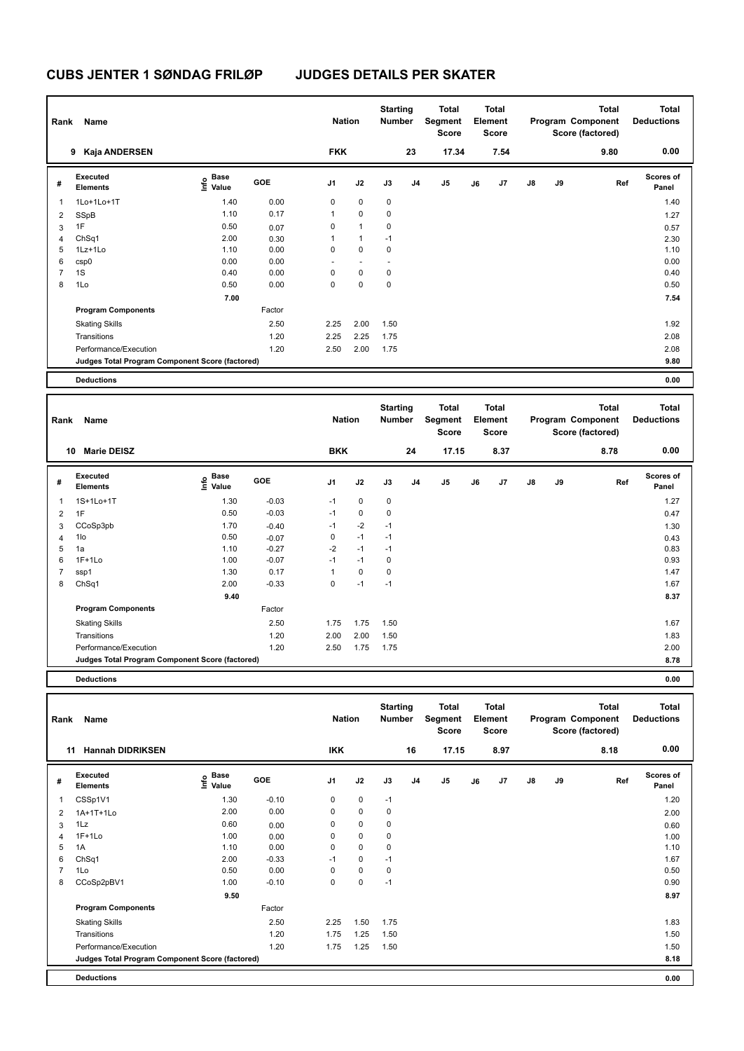| Rank           | Name                                            |                                  |            | <b>Nation</b>            |                | <b>Starting</b><br><b>Number</b> |                | Total<br>Segment<br><b>Score</b> |    | <b>Total</b><br>Element<br><b>Score</b> |               |    | <b>Total</b><br>Program Component<br>Score (factored) | <b>Total</b><br><b>Deductions</b> |
|----------------|-------------------------------------------------|----------------------------------|------------|--------------------------|----------------|----------------------------------|----------------|----------------------------------|----|-----------------------------------------|---------------|----|-------------------------------------------------------|-----------------------------------|
|                | Kaja ANDERSEN<br>9                              |                                  |            | <b>FKK</b>               |                |                                  | 23             | 17.34                            |    | 7.54                                    |               |    | 9.80                                                  | 0.00                              |
| #              | Executed<br><b>Elements</b>                     | <b>Base</b><br>o Base<br>⊆ Value | <b>GOE</b> | J <sub>1</sub>           | J2             | J3                               | J <sub>4</sub> | J5                               | J6 | J7                                      | $\mathsf{J}8$ | J9 | Ref                                                   | <b>Scores of</b><br>Panel         |
| 1              | 1Lo+1Lo+1T                                      | 1.40                             | 0.00       | 0                        | 0              | 0                                |                |                                  |    |                                         |               |    |                                                       | 1.40                              |
| 2              | SSpB                                            | 1.10                             | 0.17       | 1                        | $\mathbf 0$    | 0                                |                |                                  |    |                                         |               |    |                                                       | 1.27                              |
| 3              | 1F                                              | 0.50                             | 0.07       | 0                        | $\mathbf{1}$   | 0                                |                |                                  |    |                                         |               |    |                                                       | 0.57                              |
| 4              | ChSq1                                           | 2.00                             | 0.30       | 1                        | $\mathbf{1}$   | $-1$                             |                |                                  |    |                                         |               |    |                                                       | 2.30                              |
| 5              | $1Lz+1L0$                                       | 1.10                             | 0.00       | 0                        | $\mathbf 0$    | 0                                |                |                                  |    |                                         |               |    |                                                       | 1.10                              |
| 6              | csp0                                            | 0.00                             | 0.00       | $\overline{\phantom{a}}$ | $\overline{a}$ | $\overline{\phantom{a}}$         |                |                                  |    |                                         |               |    |                                                       | 0.00                              |
| $\overline{7}$ | 1S                                              | 0.40                             | 0.00       | 0                        | $\mathbf 0$    | 0                                |                |                                  |    |                                         |               |    |                                                       | 0.40                              |
| 8              | 1Lo                                             | 0.50                             | 0.00       | 0                        | $\mathbf 0$    | 0                                |                |                                  |    |                                         |               |    |                                                       | 0.50                              |
|                |                                                 | 7.00                             |            |                          |                |                                  |                |                                  |    |                                         |               |    |                                                       | 7.54                              |
|                | <b>Program Components</b>                       |                                  | Factor     |                          |                |                                  |                |                                  |    |                                         |               |    |                                                       |                                   |
|                | <b>Skating Skills</b>                           |                                  | 2.50       | 2.25                     | 2.00           | 1.50                             |                |                                  |    |                                         |               |    |                                                       | 1.92                              |
|                | Transitions                                     |                                  | 1.20       | 2.25                     | 2.25           | 1.75                             |                |                                  |    |                                         |               |    |                                                       | 2.08                              |
|                | Performance/Execution                           |                                  | 1.20       | 2.50                     | 2.00           | 1.75                             |                |                                  |    |                                         |               |    |                                                       | 2.08                              |
|                | Judges Total Program Component Score (factored) |                                  |            |                          |                |                                  |                |                                  |    |                                         |               |    |                                                       | 9.80                              |
|                | <b>Deductions</b>                               |                                  |            |                          |                |                                  |                |                                  |    |                                         |               |    |                                                       | 0.00                              |

| Rank | Name                                            |                                    |            | <b>Nation</b>  |             | <b>Starting</b><br><b>Number</b> |                | <b>Total</b><br>Segment<br><b>Score</b> |    | <b>Total</b><br>Element<br><b>Score</b> |               |    | <b>Total</b><br>Program Component<br>Score (factored) | <b>Total</b><br><b>Deductions</b> |
|------|-------------------------------------------------|------------------------------------|------------|----------------|-------------|----------------------------------|----------------|-----------------------------------------|----|-----------------------------------------|---------------|----|-------------------------------------------------------|-----------------------------------|
|      | <b>Marie DEISZ</b><br>10                        |                                    |            | <b>BKK</b>     |             |                                  | 24             | 17.15                                   |    | 8.37                                    |               |    | 8.78                                                  | 0.00                              |
| #    | Executed<br><b>Elements</b>                     | <b>Base</b><br>$\frac{6}{5}$ Value | <b>GOE</b> | J <sub>1</sub> | J2          | J3                               | J <sub>4</sub> | J <sub>5</sub>                          | J6 | J <sub>7</sub>                          | $\mathsf{J}8$ | J9 | Ref                                                   | <b>Scores of</b><br>Panel         |
| 1    | 1S+1Lo+1T                                       | 1.30                               | $-0.03$    | $-1$           | 0           | $\mathbf 0$                      |                |                                         |    |                                         |               |    |                                                       | 1.27                              |
| 2    | 1F                                              | 0.50                               | $-0.03$    | $-1$           | $\pmb{0}$   | 0                                |                |                                         |    |                                         |               |    |                                                       | 0.47                              |
| 3    | CCoSp3pb                                        | 1.70                               | $-0.40$    | $-1$           | $-2$        | $-1$                             |                |                                         |    |                                         |               |    |                                                       | 1.30                              |
| 4    | 1lo                                             | 0.50                               | $-0.07$    | 0              | $-1$        | $-1$                             |                |                                         |    |                                         |               |    |                                                       | 0.43                              |
| 5    | 1a                                              | 1.10                               | $-0.27$    | $-2$           | $-1$        | $-1$                             |                |                                         |    |                                         |               |    |                                                       | 0.83                              |
| 6    | $1F+1Lo$                                        | 1.00                               | $-0.07$    | $-1$           | $-1$        | 0                                |                |                                         |    |                                         |               |    |                                                       | 0.93                              |
| 7    | ssp1                                            | 1.30                               | 0.17       | $\mathbf{1}$   | $\mathbf 0$ | $\mathbf 0$                      |                |                                         |    |                                         |               |    |                                                       | 1.47                              |
| 8    | ChSq1                                           | 2.00                               | $-0.33$    | $\mathbf 0$    | $-1$        | $-1$                             |                |                                         |    |                                         |               |    |                                                       | 1.67                              |
|      |                                                 | 9.40                               |            |                |             |                                  |                |                                         |    |                                         |               |    |                                                       | 8.37                              |
|      | <b>Program Components</b>                       |                                    | Factor     |                |             |                                  |                |                                         |    |                                         |               |    |                                                       |                                   |
|      | <b>Skating Skills</b>                           |                                    | 2.50       | 1.75           | 1.75        | 1.50                             |                |                                         |    |                                         |               |    |                                                       | 1.67                              |
|      | Transitions                                     |                                    | 1.20       | 2.00           | 2.00        | 1.50                             |                |                                         |    |                                         |               |    |                                                       | 1.83                              |
|      | Performance/Execution                           |                                    | 1.20       | 2.50           | 1.75        | 1.75                             |                |                                         |    |                                         |               |    |                                                       | 2.00                              |
|      | Judges Total Program Component Score (factored) |                                    |            |                |             |                                  |                |                                         |    |                                         |               |    |                                                       | 8.78                              |
|      | <b>Deductions</b>                               |                                    |            |                |             |                                  |                |                                         |    |                                         |               |    |                                                       | 0.00                              |

| Rank           | Name                                            |                    |            | <b>Nation</b>  |             | <b>Starting</b><br><b>Number</b> |                | <b>Total</b><br>Segment<br><b>Score</b> |    | <b>Total</b><br>Element<br><b>Score</b> |    |    | <b>Total</b><br>Program Component<br>Score (factored) | <b>Total</b><br><b>Deductions</b> |
|----------------|-------------------------------------------------|--------------------|------------|----------------|-------------|----------------------------------|----------------|-----------------------------------------|----|-----------------------------------------|----|----|-------------------------------------------------------|-----------------------------------|
| 11             | <b>Hannah DIDRIKSEN</b>                         |                    |            | <b>IKK</b>     |             |                                  | 16             | 17.15                                   |    | 8.97                                    |    |    | 8.18                                                  | 0.00                              |
| #              | Executed<br><b>Elements</b>                     | $\frac{e}{E}$ Base | <b>GOE</b> | J <sub>1</sub> | J2          | J3                               | J <sub>4</sub> | J <sub>5</sub>                          | J6 | J <sub>7</sub>                          | J8 | J9 | Ref                                                   | <b>Scores of</b><br>Panel         |
| 1              | CSSp1V1                                         | 1.30               | $-0.10$    | 0              | $\mathbf 0$ | $-1$                             |                |                                         |    |                                         |    |    |                                                       | 1.20                              |
| 2              | 1A+1T+1Lo                                       | 2.00               | 0.00       | 0              | $\mathbf 0$ | 0                                |                |                                         |    |                                         |    |    |                                                       | 2.00                              |
| 3              | 1Lz                                             | 0.60               | 0.00       | 0              | $\mathbf 0$ | 0                                |                |                                         |    |                                         |    |    |                                                       | 0.60                              |
| 4              | $1F+1Lo$                                        | 1.00               | 0.00       | 0              | $\mathbf 0$ | 0                                |                |                                         |    |                                         |    |    |                                                       | 1.00                              |
| 5              | 1A                                              | 1.10               | 0.00       | 0              | $\mathbf 0$ | 0                                |                |                                         |    |                                         |    |    |                                                       | 1.10                              |
| 6              | ChSq1                                           | 2.00               | $-0.33$    | $-1$           | $\mathbf 0$ | $-1$                             |                |                                         |    |                                         |    |    |                                                       | 1.67                              |
| $\overline{7}$ | 1Lo                                             | 0.50               | 0.00       | 0              | $\mathbf 0$ | 0                                |                |                                         |    |                                         |    |    |                                                       | 0.50                              |
| 8              | CCoSp2pBV1                                      | 1.00               | $-0.10$    | 0              | $\pmb{0}$   | $-1$                             |                |                                         |    |                                         |    |    |                                                       | 0.90                              |
|                |                                                 | 9.50               |            |                |             |                                  |                |                                         |    |                                         |    |    |                                                       | 8.97                              |
|                | <b>Program Components</b>                       |                    | Factor     |                |             |                                  |                |                                         |    |                                         |    |    |                                                       |                                   |
|                | <b>Skating Skills</b>                           |                    | 2.50       | 2.25           | 1.50        | 1.75                             |                |                                         |    |                                         |    |    |                                                       | 1.83                              |
|                | Transitions                                     |                    | 1.20       | 1.75           | 1.25        | 1.50                             |                |                                         |    |                                         |    |    |                                                       | 1.50                              |
|                | Performance/Execution                           |                    | 1.20       | 1.75           | 1.25        | 1.50                             |                |                                         |    |                                         |    |    |                                                       | 1.50                              |
|                | Judges Total Program Component Score (factored) |                    |            |                |             |                                  |                |                                         |    |                                         |    |    |                                                       | 8.18                              |
|                | <b>Deductions</b>                               |                    |            |                |             |                                  |                |                                         |    |                                         |    |    |                                                       | 0.00                              |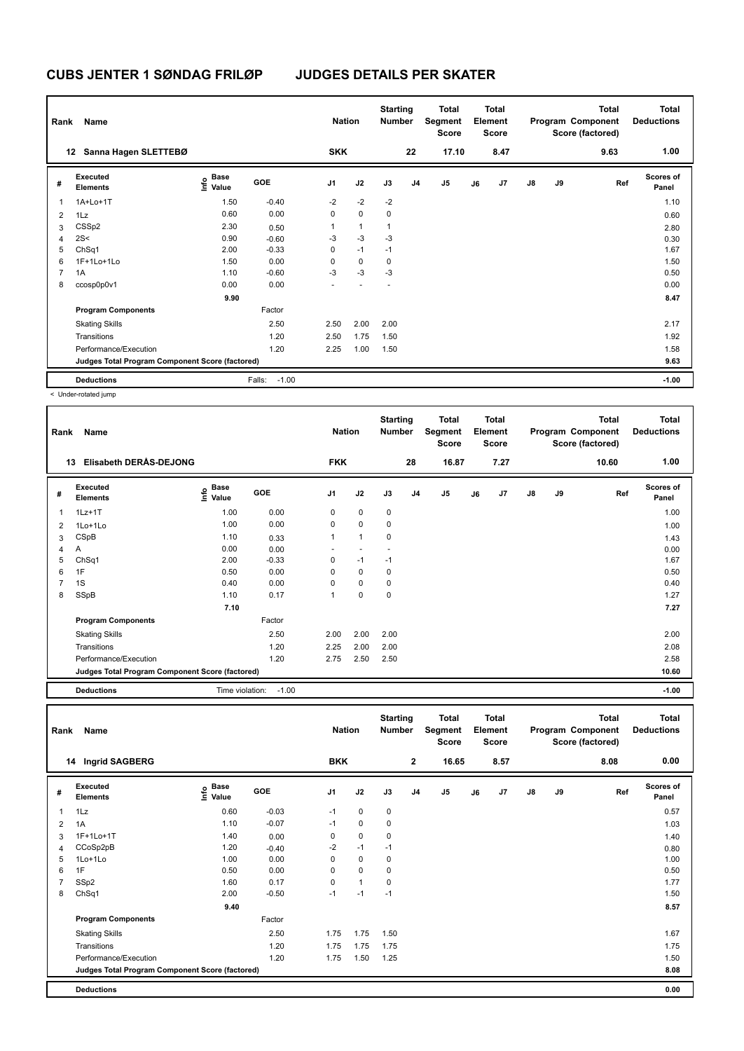| Rank           | Name                                            |                                    |                   | <b>Nation</b>  |              | <b>Starting</b><br><b>Number</b> |                | Total<br>Segment<br><b>Score</b> |    | <b>Total</b><br>Element<br>Score |               |    | Total<br>Program Component<br>Score (factored) | <b>Total</b><br><b>Deductions</b> |
|----------------|-------------------------------------------------|------------------------------------|-------------------|----------------|--------------|----------------------------------|----------------|----------------------------------|----|----------------------------------|---------------|----|------------------------------------------------|-----------------------------------|
|                | Sanna Hagen SLETTEBØ<br>12                      |                                    |                   | <b>SKK</b>     |              |                                  | 22             | 17.10                            |    | 8.47                             |               |    | 9.63                                           | 1.00                              |
| #              | Executed<br><b>Elements</b>                     | <b>Base</b><br>$\frac{6}{5}$ Value | <b>GOE</b>        | J <sub>1</sub> | J2           | J3                               | J <sub>4</sub> | J <sub>5</sub>                   | J6 | J7                               | $\mathsf{J}8$ | J9 | Ref                                            | <b>Scores of</b><br>Panel         |
| $\mathbf{1}$   | 1A+Lo+1T                                        | 1.50                               | $-0.40$           | $-2$           | $-2$         | $-2$                             |                |                                  |    |                                  |               |    |                                                | 1.10                              |
| $\overline{2}$ | 1Lz                                             | 0.60                               | 0.00              | 0              | $\mathbf 0$  | 0                                |                |                                  |    |                                  |               |    |                                                | 0.60                              |
| 3              | CSSp2                                           | 2.30                               | 0.50              | 1              | $\mathbf{1}$ | 1                                |                |                                  |    |                                  |               |    |                                                | 2.80                              |
| $\overline{4}$ | 2S<                                             | 0.90                               | $-0.60$           | -3             | $-3$         | $-3$                             |                |                                  |    |                                  |               |    |                                                | 0.30                              |
| 5              | ChSq1                                           | 2.00                               | $-0.33$           | 0              | $-1$         | $-1$                             |                |                                  |    |                                  |               |    |                                                | 1.67                              |
| 6              | 1F+1Lo+1Lo                                      | 1.50                               | 0.00              | 0              | 0            | 0                                |                |                                  |    |                                  |               |    |                                                | 1.50                              |
| $\overline{7}$ | 1A                                              | 1.10                               | $-0.60$           | $-3$           | $-3$         | -3                               |                |                                  |    |                                  |               |    |                                                | 0.50                              |
| 8              | ccosp0p0v1                                      | 0.00                               | 0.00              |                |              |                                  |                |                                  |    |                                  |               |    |                                                | 0.00                              |
|                |                                                 | 9.90                               |                   |                |              |                                  |                |                                  |    |                                  |               |    |                                                | 8.47                              |
|                | <b>Program Components</b>                       |                                    | Factor            |                |              |                                  |                |                                  |    |                                  |               |    |                                                |                                   |
|                | <b>Skating Skills</b>                           |                                    | 2.50              | 2.50           | 2.00         | 2.00                             |                |                                  |    |                                  |               |    |                                                | 2.17                              |
|                | Transitions                                     |                                    | 1.20              | 2.50           | 1.75         | 1.50                             |                |                                  |    |                                  |               |    |                                                | 1.92                              |
|                | Performance/Execution                           |                                    | 1.20              | 2.25           | 1.00         | 1.50                             |                |                                  |    |                                  |               |    |                                                | 1.58                              |
|                | Judges Total Program Component Score (factored) |                                    |                   |                |              |                                  |                |                                  |    |                                  |               |    |                                                | 9.63                              |
|                | <b>Deductions</b>                               |                                    | $-1.00$<br>Falls: |                |              |                                  |                |                                  |    |                                  |               |    |                                                | $-1.00$                           |

< Under-rotated jump

| Rank           | Name                                            |                                                   |         | <b>Nation</b>  |                | <b>Starting</b><br><b>Number</b> |                | <b>Total</b><br>Segment<br><b>Score</b> |    | <b>Total</b><br>Element<br><b>Score</b> |               |    | <b>Total</b><br>Program Component<br>Score (factored) | Total<br><b>Deductions</b> |
|----------------|-------------------------------------------------|---------------------------------------------------|---------|----------------|----------------|----------------------------------|----------------|-----------------------------------------|----|-----------------------------------------|---------------|----|-------------------------------------------------------|----------------------------|
|                | Elisabeth DERAS-DEJONG<br>13                    |                                                   |         | <b>FKK</b>     |                |                                  | 28             | 16.87                                   |    | 7.27                                    |               |    | 10.60                                                 | 1.00                       |
| #              | Executed<br><b>Elements</b>                     | <b>Base</b><br>$\mathop{\mathsf{Inflo}}$<br>Value | GOE     | J <sub>1</sub> | J2             | J3                               | J <sub>4</sub> | J5                                      | J6 | J7                                      | $\mathsf{J}8$ | J9 | Ref                                                   | <b>Scores of</b><br>Panel  |
| 1              | $1Lz+1T$                                        | 1.00                                              | 0.00    | $\Omega$       | 0              | 0                                |                |                                         |    |                                         |               |    |                                                       | 1.00                       |
| $\overline{2}$ | 1Lo+1Lo                                         | 1.00                                              | 0.00    | 0              | $\Omega$       | 0                                |                |                                         |    |                                         |               |    |                                                       | 1.00                       |
| 3              | CSpB                                            | 1.10                                              | 0.33    | 1              | $\overline{1}$ | 0                                |                |                                         |    |                                         |               |    |                                                       | 1.43                       |
| 4              | Α                                               | 0.00                                              | 0.00    |                |                |                                  |                |                                         |    |                                         |               |    |                                                       | 0.00                       |
| 5              | ChSq1                                           | 2.00                                              | $-0.33$ | 0              | $-1$           | $-1$                             |                |                                         |    |                                         |               |    |                                                       | 1.67                       |
| 6              | 1F                                              | 0.50                                              | 0.00    | 0              | 0              | 0                                |                |                                         |    |                                         |               |    |                                                       | 0.50                       |
| 7              | 1S                                              | 0.40                                              | 0.00    | $\Omega$       | 0              | 0                                |                |                                         |    |                                         |               |    |                                                       | 0.40                       |
| 8              | SSpB                                            | 1.10                                              | 0.17    | 1              | $\mathbf 0$    | 0                                |                |                                         |    |                                         |               |    |                                                       | 1.27                       |
|                |                                                 | 7.10                                              |         |                |                |                                  |                |                                         |    |                                         |               |    |                                                       | 7.27                       |
|                | <b>Program Components</b>                       |                                                   | Factor  |                |                |                                  |                |                                         |    |                                         |               |    |                                                       |                            |
|                | <b>Skating Skills</b>                           |                                                   | 2.50    | 2.00           | 2.00           | 2.00                             |                |                                         |    |                                         |               |    |                                                       | 2.00                       |
|                | Transitions                                     |                                                   | 1.20    | 2.25           | 2.00           | 2.00                             |                |                                         |    |                                         |               |    |                                                       | 2.08                       |
|                | Performance/Execution                           |                                                   | 1.20    | 2.75           | 2.50           | 2.50                             |                |                                         |    |                                         |               |    |                                                       | 2.58                       |
|                | Judges Total Program Component Score (factored) |                                                   |         |                |                |                                  |                |                                         |    |                                         |               |    |                                                       | 10.60                      |
|                | <b>Deductions</b>                               | Time violation:                                   | $-1.00$ |                |                |                                  |                |                                         |    |                                         |               |    |                                                       | $-1.00$                    |

| Rank | Name                                            |                                             |         | <b>Nation</b>  |              | <b>Starting</b><br><b>Number</b> |                | <b>Total</b><br>Segment<br><b>Score</b> |    | <b>Total</b><br>Element<br><b>Score</b> |               |    | <b>Total</b><br>Program Component<br>Score (factored) | <b>Total</b><br><b>Deductions</b> |
|------|-------------------------------------------------|---------------------------------------------|---------|----------------|--------------|----------------------------------|----------------|-----------------------------------------|----|-----------------------------------------|---------------|----|-------------------------------------------------------|-----------------------------------|
|      | 14 Ingrid SAGBERG                               |                                             |         | <b>BKK</b>     |              |                                  | $\mathbf{2}$   | 16.65                                   |    | 8.57                                    |               |    | 8.08                                                  | 0.00                              |
| #    | <b>Executed</b><br><b>Elements</b>              | <b>Base</b><br>e <sup>Base</sup><br>⊆ Value | GOE     | J <sub>1</sub> | J2           | J3                               | J <sub>4</sub> | J5                                      | J6 | J7                                      | $\mathsf{J}8$ | J9 | Ref                                                   | <b>Scores of</b><br>Panel         |
| 1    | 1Lz                                             | 0.60                                        | $-0.03$ | $-1$           | $\mathbf 0$  | 0                                |                |                                         |    |                                         |               |    |                                                       | 0.57                              |
| 2    | 1A                                              | 1.10                                        | $-0.07$ | $-1$           | $\mathbf 0$  | 0                                |                |                                         |    |                                         |               |    |                                                       | 1.03                              |
| 3    | 1F+1Lo+1T                                       | 1.40                                        | 0.00    | 0              | $\mathbf 0$  | 0                                |                |                                         |    |                                         |               |    |                                                       | 1.40                              |
| 4    | CCoSp2pB                                        | 1.20                                        | $-0.40$ | $-2$           | $-1$         | $-1$                             |                |                                         |    |                                         |               |    |                                                       | 0.80                              |
| 5    | 1Lo+1Lo                                         | 1.00                                        | 0.00    | 0              | $\mathbf 0$  | 0                                |                |                                         |    |                                         |               |    |                                                       | 1.00                              |
| 6    | 1F                                              | 0.50                                        | 0.00    | 0              | $\mathbf 0$  | 0                                |                |                                         |    |                                         |               |    |                                                       | 0.50                              |
|      | SSp2                                            | 1.60                                        | 0.17    | 0              | $\mathbf{1}$ | 0                                |                |                                         |    |                                         |               |    |                                                       | 1.77                              |
| 8    | ChSq1                                           | 2.00                                        | $-0.50$ | $-1$           | $-1$         | $-1$                             |                |                                         |    |                                         |               |    |                                                       | 1.50                              |
|      |                                                 | 9.40                                        |         |                |              |                                  |                |                                         |    |                                         |               |    |                                                       | 8.57                              |
|      | <b>Program Components</b>                       |                                             | Factor  |                |              |                                  |                |                                         |    |                                         |               |    |                                                       |                                   |
|      | <b>Skating Skills</b>                           |                                             | 2.50    | 1.75           | 1.75         | 1.50                             |                |                                         |    |                                         |               |    |                                                       | 1.67                              |
|      | Transitions                                     |                                             | 1.20    | 1.75           | 1.75         | 1.75                             |                |                                         |    |                                         |               |    |                                                       | 1.75                              |
|      | Performance/Execution                           |                                             | 1.20    | 1.75           | 1.50         | 1.25                             |                |                                         |    |                                         |               |    |                                                       | 1.50                              |
|      | Judges Total Program Component Score (factored) |                                             |         |                |              |                                  |                |                                         |    |                                         |               |    |                                                       | 8.08                              |
|      | <b>Deductions</b>                               |                                             |         |                |              |                                  |                |                                         |    |                                         |               |    |                                                       | 0.00                              |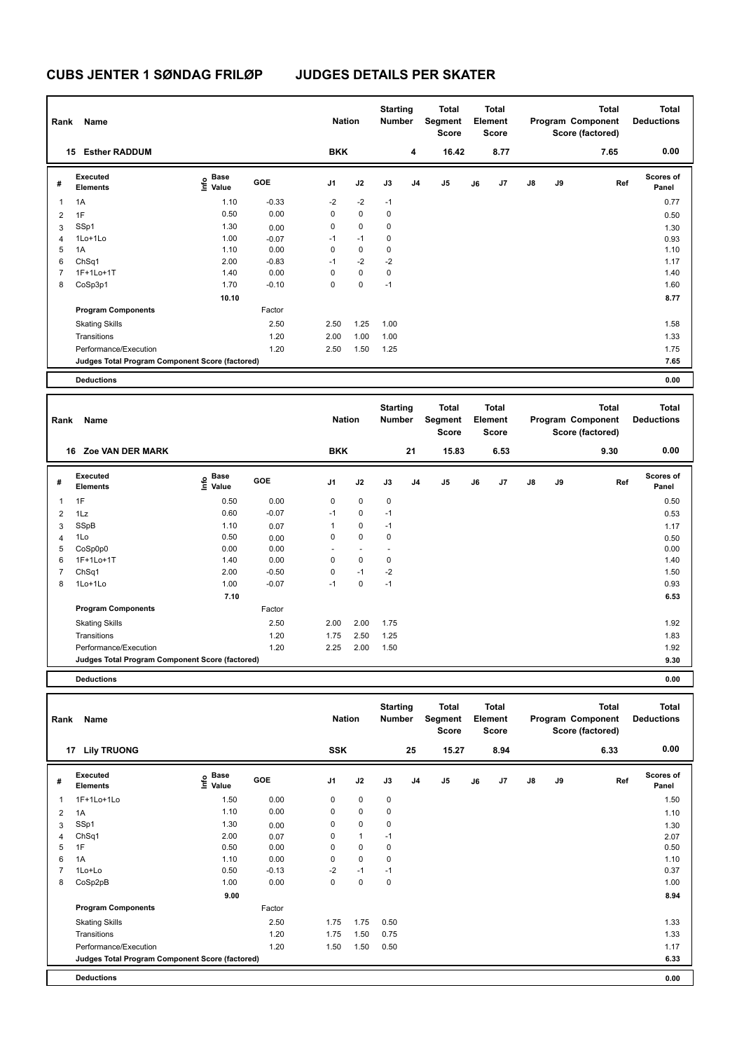| Rank           | Name                                            |                           |         | <b>Nation</b>  |             | <b>Starting</b><br><b>Number</b> |                | <b>Total</b><br>Segment<br><b>Score</b> |    | Total<br>Element<br><b>Score</b> |               |    | <b>Total</b><br>Program Component<br>Score (factored) | <b>Total</b><br><b>Deductions</b> |
|----------------|-------------------------------------------------|---------------------------|---------|----------------|-------------|----------------------------------|----------------|-----------------------------------------|----|----------------------------------|---------------|----|-------------------------------------------------------|-----------------------------------|
|                | <b>Esther RADDUM</b><br>15                      |                           |         | <b>BKK</b>     |             |                                  | 4              | 16.42                                   |    | 8.77                             |               |    | 7.65                                                  | 0.00                              |
| #              | Executed<br><b>Elements</b>                     | Base<br>o Base<br>⊆ Value | GOE     | J <sub>1</sub> | J2          | J3                               | J <sub>4</sub> | J5                                      | J6 | J7                               | $\mathsf{J}8$ | J9 | Ref                                                   | <b>Scores of</b><br>Panel         |
| $\overline{1}$ | 1A                                              | 1.10                      | $-0.33$ | $-2$           | $-2$        | $-1$                             |                |                                         |    |                                  |               |    |                                                       | 0.77                              |
| $\overline{2}$ | 1F                                              | 0.50                      | 0.00    | 0              | $\mathbf 0$ | $\mathbf 0$                      |                |                                         |    |                                  |               |    |                                                       | 0.50                              |
| 3              | SSp1                                            | 1.30                      | 0.00    | 0              | $\pmb{0}$   | 0                                |                |                                         |    |                                  |               |    |                                                       | 1.30                              |
| 4              | 1Lo+1Lo                                         | 1.00                      | $-0.07$ | $-1$           | $-1$        | 0                                |                |                                         |    |                                  |               |    |                                                       | 0.93                              |
| 5              | 1A                                              | 1.10                      | 0.00    | 0              | $\mathbf 0$ | $\mathbf 0$                      |                |                                         |    |                                  |               |    |                                                       | 1.10                              |
| 6              | ChSq1                                           | 2.00                      | $-0.83$ | $-1$           | $-2$        | $-2$                             |                |                                         |    |                                  |               |    |                                                       | 1.17                              |
| 7              | 1F+1Lo+1T                                       | 1.40                      | 0.00    | 0              | $\mathbf 0$ | 0                                |                |                                         |    |                                  |               |    |                                                       | 1.40                              |
| 8              | CoSp3p1                                         | 1.70                      | $-0.10$ | 0              | $\pmb{0}$   | $-1$                             |                |                                         |    |                                  |               |    |                                                       | 1.60                              |
|                |                                                 | 10.10                     |         |                |             |                                  |                |                                         |    |                                  |               |    |                                                       | 8.77                              |
|                | <b>Program Components</b>                       |                           | Factor  |                |             |                                  |                |                                         |    |                                  |               |    |                                                       |                                   |
|                | <b>Skating Skills</b>                           |                           | 2.50    | 2.50           | 1.25        | 1.00                             |                |                                         |    |                                  |               |    |                                                       | 1.58                              |
|                | Transitions                                     |                           | 1.20    | 2.00           | 1.00        | 1.00                             |                |                                         |    |                                  |               |    |                                                       | 1.33                              |
|                | Performance/Execution                           |                           | 1.20    | 2.50           | 1.50        | 1.25                             |                |                                         |    |                                  |               |    |                                                       | 1.75                              |
|                | Judges Total Program Component Score (factored) |                           |         |                |             |                                  |                |                                         |    |                                  |               |    |                                                       | 7.65                              |
|                | <b>Deductions</b>                               |                           |         |                |             |                                  |                |                                         |    |                                  |               |    |                                                       | 0.00                              |

| Rank | Name                                            |                                  |            | <b>Nation</b>  |             | <b>Starting</b><br>Number |                | <b>Total</b><br>Segment<br><b>Score</b> |       | <b>Total</b><br>Element<br><b>Score</b> |               |    | <b>Total</b><br>Program Component<br>Score (factored) | <b>Total</b><br><b>Deductions</b> |
|------|-------------------------------------------------|----------------------------------|------------|----------------|-------------|---------------------------|----------------|-----------------------------------------|-------|-----------------------------------------|---------------|----|-------------------------------------------------------|-----------------------------------|
|      | <b>Zoe VAN DER MARK</b><br>16                   |                                  |            | <b>BKK</b>     |             |                           | 21             |                                         | 15.83 | 6.53                                    |               |    | 9.30                                                  | 0.00                              |
| #    | Executed<br><b>Elements</b>                     | <b>Base</b><br>e Base<br>⊆ Value | <b>GOE</b> | J <sub>1</sub> | J2          | J3                        | J <sub>4</sub> | J <sub>5</sub>                          | J6    | J <sub>7</sub>                          | $\mathsf{J}8$ | J9 | Ref                                                   | <b>Scores of</b><br>Panel         |
| 1    | 1F                                              | 0.50                             | 0.00       | 0              | $\mathbf 0$ | $\mathbf 0$               |                |                                         |       |                                         |               |    |                                                       | 0.50                              |
| 2    | 1Lz                                             | 0.60                             | $-0.07$    | $-1$           | 0           | $-1$                      |                |                                         |       |                                         |               |    |                                                       | 0.53                              |
| 3    | SSpB                                            | 1.10                             | 0.07       | 1              | $\mathbf 0$ | $-1$                      |                |                                         |       |                                         |               |    |                                                       | 1.17                              |
| 4    | 1Lo                                             | 0.50                             | 0.00       | 0              | $\mathsf 0$ | 0                         |                |                                         |       |                                         |               |    |                                                       | 0.50                              |
| 5    | CoSp0p0                                         | 0.00                             | 0.00       | ٠              | $\sim$      |                           |                |                                         |       |                                         |               |    |                                                       | 0.00                              |
| 6    | 1F+1Lo+1T                                       | 1.40                             | 0.00       | $\mathbf 0$    | $\mathbf 0$ | 0                         |                |                                         |       |                                         |               |    |                                                       | 1.40                              |
| 7    | ChSq1                                           | 2.00                             | $-0.50$    | $\mathbf 0$    | $-1$        | $-2$                      |                |                                         |       |                                         |               |    |                                                       | 1.50                              |
| 8    | 1Lo+1Lo                                         | 1.00                             | $-0.07$    | $-1$           | 0           | $-1$                      |                |                                         |       |                                         |               |    |                                                       | 0.93                              |
|      |                                                 | 7.10                             |            |                |             |                           |                |                                         |       |                                         |               |    |                                                       | 6.53                              |
|      | <b>Program Components</b>                       |                                  | Factor     |                |             |                           |                |                                         |       |                                         |               |    |                                                       |                                   |
|      | <b>Skating Skills</b>                           |                                  | 2.50       | 2.00           | 2.00        | 1.75                      |                |                                         |       |                                         |               |    |                                                       | 1.92                              |
|      | Transitions                                     |                                  | 1.20       | 1.75           | 2.50        | 1.25                      |                |                                         |       |                                         |               |    |                                                       | 1.83                              |
|      | Performance/Execution                           |                                  | 1.20       | 2.25           | 2.00        | 1.50                      |                |                                         |       |                                         |               |    |                                                       | 1.92                              |
|      | Judges Total Program Component Score (factored) |                                  |            |                |             |                           |                |                                         |       |                                         |               |    |                                                       | 9.30                              |
|      |                                                 |                                  |            |                |             |                           |                |                                         |       |                                         |               |    |                                                       |                                   |

| Rank           | Name                                            |                                           |            | <b>Nation</b>  |              | <b>Starting</b><br><b>Number</b> |                | Total<br>Segment<br>Score |    | Total<br>Element<br><b>Score</b> |    |    | <b>Total</b><br>Program Component<br>Score (factored) | <b>Total</b><br><b>Deductions</b> |
|----------------|-------------------------------------------------|-------------------------------------------|------------|----------------|--------------|----------------------------------|----------------|---------------------------|----|----------------------------------|----|----|-------------------------------------------------------|-----------------------------------|
| 17             | <b>Lily TRUONG</b>                              |                                           |            | <b>SSK</b>     |              |                                  | 25             | 15.27                     |    | 8.94                             |    |    | 6.33                                                  | 0.00                              |
| #              | Executed<br><b>Elements</b>                     | $\frac{e}{E}$ Base<br>$\frac{E}{E}$ Value | <b>GOE</b> | J <sub>1</sub> | J2           | J3                               | J <sub>4</sub> | J <sub>5</sub>            | J6 | J <sub>7</sub>                   | J8 | J9 | Ref                                                   | <b>Scores of</b><br>Panel         |
| 1              | 1F+1Lo+1Lo                                      | 1.50                                      | 0.00       | 0              | 0            | 0                                |                |                           |    |                                  |    |    |                                                       | 1.50                              |
| $\overline{2}$ | 1A                                              | 1.10                                      | 0.00       | 0              | $\mathbf 0$  | 0                                |                |                           |    |                                  |    |    |                                                       | 1.10                              |
| 3              | SSp1                                            | 1.30                                      | 0.00       | $\mathbf 0$    | $\mathbf 0$  | $\mathbf 0$                      |                |                           |    |                                  |    |    |                                                       | 1.30                              |
| 4              | ChSq1                                           | 2.00                                      | 0.07       | 0              | $\mathbf{1}$ | $-1$                             |                |                           |    |                                  |    |    |                                                       | 2.07                              |
| 5              | 1F                                              | 0.50                                      | 0.00       | 0              | $\mathbf 0$  | 0                                |                |                           |    |                                  |    |    |                                                       | 0.50                              |
| 6              | 1A                                              | 1.10                                      | 0.00       | 0              | $\mathbf 0$  | 0                                |                |                           |    |                                  |    |    |                                                       | 1.10                              |
|                | 1Lo+Lo                                          | 0.50                                      | $-0.13$    | $-2$           | $-1$         | $-1$                             |                |                           |    |                                  |    |    |                                                       | 0.37                              |
| 8              | CoSp2pB                                         | 1.00                                      | 0.00       | 0              | $\mathbf 0$  | 0                                |                |                           |    |                                  |    |    |                                                       | 1.00                              |
|                |                                                 | 9.00                                      |            |                |              |                                  |                |                           |    |                                  |    |    |                                                       | 8.94                              |
|                | <b>Program Components</b>                       |                                           | Factor     |                |              |                                  |                |                           |    |                                  |    |    |                                                       |                                   |
|                | <b>Skating Skills</b>                           |                                           | 2.50       | 1.75           | 1.75         | 0.50                             |                |                           |    |                                  |    |    |                                                       | 1.33                              |
|                | Transitions                                     |                                           | 1.20       | 1.75           | 1.50         | 0.75                             |                |                           |    |                                  |    |    |                                                       | 1.33                              |
|                | Performance/Execution                           |                                           | 1.20       | 1.50           | 1.50         | 0.50                             |                |                           |    |                                  |    |    |                                                       | 1.17                              |
|                | Judges Total Program Component Score (factored) |                                           |            |                |              |                                  |                |                           |    |                                  |    |    |                                                       | 6.33                              |
|                | <b>Deductions</b>                               |                                           |            |                |              |                                  |                |                           |    |                                  |    |    |                                                       | 0.00                              |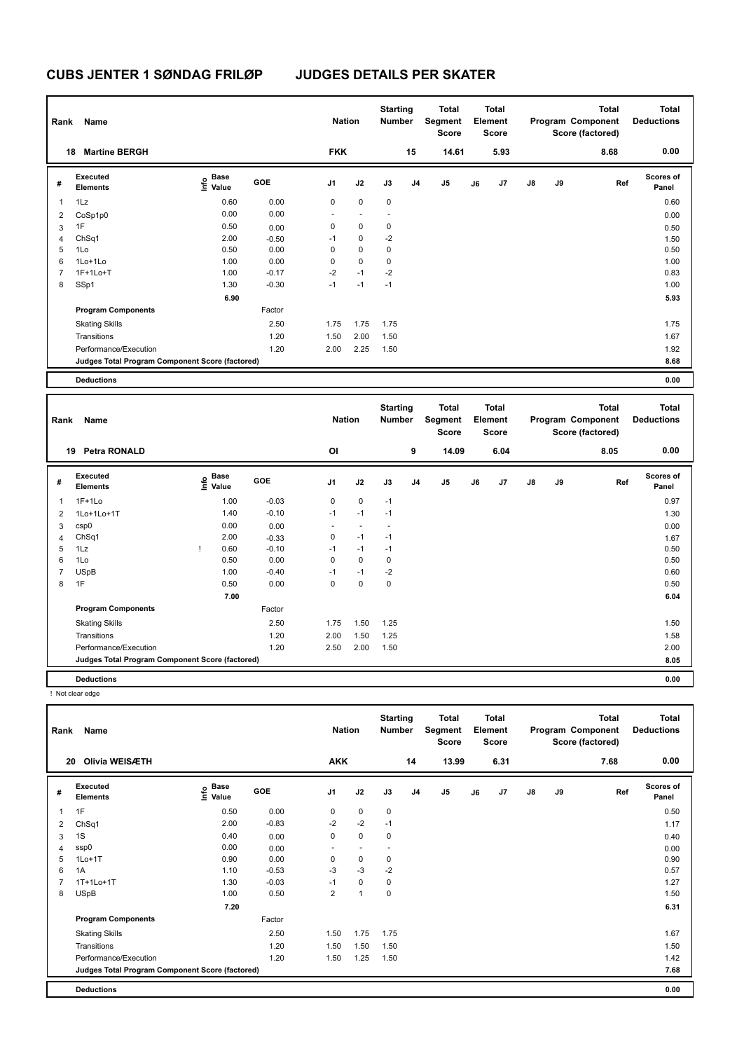| Rank | Name                                            |                           |         | <b>Nation</b>  |             | <b>Starting</b><br><b>Number</b> |                | <b>Total</b><br>Segment<br><b>Score</b> |    | Total<br>Element<br><b>Score</b> |               |    | <b>Total</b><br>Program Component<br>Score (factored) | <b>Total</b><br><b>Deductions</b> |
|------|-------------------------------------------------|---------------------------|---------|----------------|-------------|----------------------------------|----------------|-----------------------------------------|----|----------------------------------|---------------|----|-------------------------------------------------------|-----------------------------------|
|      | <b>Martine BERGH</b><br>18                      |                           |         | <b>FKK</b>     |             |                                  | 15             | 14.61                                   |    | 5.93                             |               |    | 8.68                                                  | 0.00                              |
| #    | Executed<br><b>Elements</b>                     | Base<br>o Base<br>⊆ Value | GOE     | J <sub>1</sub> | J2          | J3                               | J <sub>4</sub> | J5                                      | J6 | J7                               | $\mathsf{J}8$ | J9 | Ref                                                   | <b>Scores of</b><br>Panel         |
| 1    | 1Lz                                             | 0.60                      | 0.00    | 0              | $\mathbf 0$ | $\mathbf 0$                      |                |                                         |    |                                  |               |    |                                                       | 0.60                              |
| 2    | CoSp1p0                                         | 0.00                      | 0.00    |                |             |                                  |                |                                         |    |                                  |               |    |                                                       | 0.00                              |
| 3    | 1F                                              | 0.50                      | 0.00    | 0              | 0           | 0                                |                |                                         |    |                                  |               |    |                                                       | 0.50                              |
| 4    | ChSq1                                           | 2.00                      | $-0.50$ | $-1$           | $\mathbf 0$ | $-2$                             |                |                                         |    |                                  |               |    |                                                       | 1.50                              |
| 5    | 1Lo                                             | 0.50                      | 0.00    | 0              | $\mathbf 0$ | $\mathbf 0$                      |                |                                         |    |                                  |               |    |                                                       | 0.50                              |
| 6    | 1Lo+1Lo                                         | 1.00                      | 0.00    | 0              | $\mathbf 0$ | $\mathbf 0$                      |                |                                         |    |                                  |               |    |                                                       | 1.00                              |
| 7    | $1F+1Lo+T$                                      | 1.00                      | $-0.17$ | $-2$           | $-1$        | $-2$                             |                |                                         |    |                                  |               |    |                                                       | 0.83                              |
| 8    | SSp1                                            | 1.30                      | $-0.30$ | $-1$           | $-1$        | $-1$                             |                |                                         |    |                                  |               |    |                                                       | 1.00                              |
|      |                                                 | 6.90                      |         |                |             |                                  |                |                                         |    |                                  |               |    |                                                       | 5.93                              |
|      | <b>Program Components</b>                       |                           | Factor  |                |             |                                  |                |                                         |    |                                  |               |    |                                                       |                                   |
|      | <b>Skating Skills</b>                           |                           | 2.50    | 1.75           | 1.75        | 1.75                             |                |                                         |    |                                  |               |    |                                                       | 1.75                              |
|      | Transitions                                     |                           | 1.20    | 1.50           | 2.00        | 1.50                             |                |                                         |    |                                  |               |    |                                                       | 1.67                              |
|      | Performance/Execution                           |                           | 1.20    | 2.00           | 2.25        | 1.50                             |                |                                         |    |                                  |               |    |                                                       | 1.92                              |
|      | Judges Total Program Component Score (factored) |                           |         |                |             |                                  |                |                                         |    |                                  |               |    |                                                       | 8.68                              |
|      | <b>Deductions</b>                               |                           |         |                |             |                                  |                |                                         |    |                                  |               |    |                                                       | 0.00                              |

| Rank           | Name                                            |                                  |            | <b>Nation</b>  |                          | <b>Starting</b><br>Number |                | <b>Total</b><br>Segment<br><b>Score</b> |    | <b>Total</b><br>Element<br><b>Score</b> |               |    | <b>Total</b><br>Program Component<br>Score (factored) | <b>Total</b><br><b>Deductions</b> |
|----------------|-------------------------------------------------|----------------------------------|------------|----------------|--------------------------|---------------------------|----------------|-----------------------------------------|----|-----------------------------------------|---------------|----|-------------------------------------------------------|-----------------------------------|
|                | <b>Petra RONALD</b><br>19                       |                                  |            | OI             |                          |                           | 9              | 14.09                                   |    | 6.04                                    |               |    | 8.05                                                  | 0.00                              |
| #              | Executed<br><b>Elements</b>                     | <b>Base</b><br>e Base<br>⊆ Value | <b>GOE</b> | J <sub>1</sub> | J2                       | J3                        | J <sub>4</sub> | J <sub>5</sub>                          | J6 | J7                                      | $\mathsf{J}8$ | J9 | Ref                                                   | <b>Scores of</b><br>Panel         |
| 1              | $1F+1Lo$                                        | 1.00                             | $-0.03$    | 0              | $\mathbf 0$              | $-1$                      |                |                                         |    |                                         |               |    |                                                       | 0.97                              |
| 2              | 1Lo+1Lo+1T                                      | 1.40                             | $-0.10$    | $-1$           | $-1$                     | $-1$                      |                |                                         |    |                                         |               |    |                                                       | 1.30                              |
| 3              | csp0                                            | 0.00                             | 0.00       | $\sim$         | $\overline{\phantom{a}}$ | $\overline{\phantom{a}}$  |                |                                         |    |                                         |               |    |                                                       | 0.00                              |
| 4              | ChSq1                                           | 2.00                             | $-0.33$    | 0              | $-1$                     | $-1$                      |                |                                         |    |                                         |               |    |                                                       | 1.67                              |
| 5              | 1Lz                                             | 0.60                             | $-0.10$    | $-1$           | $-1$                     | $-1$                      |                |                                         |    |                                         |               |    |                                                       | 0.50                              |
| 6              | 1Lo                                             | 0.50                             | 0.00       | 0              | $\mathbf 0$              | 0                         |                |                                         |    |                                         |               |    |                                                       | 0.50                              |
| $\overline{7}$ | <b>USpB</b>                                     | 1.00                             | $-0.40$    | $-1$           | $-1$                     | $-2$                      |                |                                         |    |                                         |               |    |                                                       | 0.60                              |
| 8              | 1F                                              | 0.50                             | 0.00       | 0              | 0                        | 0                         |                |                                         |    |                                         |               |    |                                                       | 0.50                              |
|                |                                                 | 7.00                             |            |                |                          |                           |                |                                         |    |                                         |               |    |                                                       | 6.04                              |
|                | <b>Program Components</b>                       |                                  | Factor     |                |                          |                           |                |                                         |    |                                         |               |    |                                                       |                                   |
|                | <b>Skating Skills</b>                           |                                  | 2.50       | 1.75           | 1.50                     | 1.25                      |                |                                         |    |                                         |               |    |                                                       | 1.50                              |
|                | Transitions                                     |                                  | 1.20       | 2.00           | 1.50                     | 1.25                      |                |                                         |    |                                         |               |    |                                                       | 1.58                              |
|                | Performance/Execution                           |                                  | 1.20       | 2.50           | 2.00                     | 1.50                      |                |                                         |    |                                         |               |    |                                                       | 2.00                              |
|                | Judges Total Program Component Score (factored) |                                  |            |                |                          |                           |                |                                         |    |                                         |               |    |                                                       | 8.05                              |
|                | <b>Deductions</b>                               |                                  |            |                |                          |                           |                |                                         |    |                                         |               |    |                                                       | 0.00                              |

! Not clear edge

| Rank | Name                                            |                                    |         | <b>Nation</b>            |             | <b>Starting</b><br><b>Number</b> |                | <b>Total</b><br>Segment<br><b>Score</b> |    | <b>Total</b><br>Element<br><b>Score</b> |               |    | <b>Total</b><br>Program Component<br>Score (factored) | <b>Total</b><br><b>Deductions</b> |
|------|-------------------------------------------------|------------------------------------|---------|--------------------------|-------------|----------------------------------|----------------|-----------------------------------------|----|-----------------------------------------|---------------|----|-------------------------------------------------------|-----------------------------------|
| 20   | Olivia WEISÆTH                                  |                                    |         | <b>AKK</b>               |             |                                  | 14             | 13.99                                   |    | 6.31                                    |               |    | 7.68                                                  | 0.00                              |
| #    | Executed<br><b>Elements</b>                     | <b>Base</b><br>$\frac{6}{5}$ Value | GOE     | J <sub>1</sub>           | J2          | J3                               | J <sub>4</sub> | J <sub>5</sub>                          | J6 | J7                                      | $\mathsf{J}8$ | J9 | Ref                                                   | Scores of<br>Panel                |
| 1    | 1F                                              | 0.50                               | 0.00    | 0                        | $\mathbf 0$ | $\mathbf 0$                      |                |                                         |    |                                         |               |    |                                                       | 0.50                              |
| 2    | ChSq1                                           | 2.00                               | $-0.83$ | $-2$                     | $-2$        | $-1$                             |                |                                         |    |                                         |               |    |                                                       | 1.17                              |
| 3    | 1S                                              | 0.40                               | 0.00    | 0                        | $\pmb{0}$   | 0                                |                |                                         |    |                                         |               |    |                                                       | 0.40                              |
| 4    | ssp0                                            | 0.00                               | 0.00    | $\overline{\phantom{a}}$ | $\sim$      | $\overline{\phantom{a}}$         |                |                                         |    |                                         |               |    |                                                       | 0.00                              |
| 5    | $1Lo+1T$                                        | 0.90                               | 0.00    | 0                        | $\pmb{0}$   | 0                                |                |                                         |    |                                         |               |    |                                                       | 0.90                              |
| 6    | 1A                                              | 1.10                               | $-0.53$ | $-3$                     | $-3$        | $-2$                             |                |                                         |    |                                         |               |    |                                                       | 0.57                              |
| 7    | 1T+1Lo+1T                                       | 1.30                               | $-0.03$ | $-1$                     | 0           | 0                                |                |                                         |    |                                         |               |    |                                                       | 1.27                              |
| 8    | <b>USpB</b>                                     | 1.00                               | 0.50    | $\overline{2}$           | 1           | $\mathbf 0$                      |                |                                         |    |                                         |               |    |                                                       | 1.50                              |
|      |                                                 | 7.20                               |         |                          |             |                                  |                |                                         |    |                                         |               |    |                                                       | 6.31                              |
|      | <b>Program Components</b>                       |                                    | Factor  |                          |             |                                  |                |                                         |    |                                         |               |    |                                                       |                                   |
|      | <b>Skating Skills</b>                           |                                    | 2.50    | 1.50                     | 1.75        | 1.75                             |                |                                         |    |                                         |               |    |                                                       | 1.67                              |
|      | Transitions                                     |                                    | 1.20    | 1.50                     | 1.50        | 1.50                             |                |                                         |    |                                         |               |    |                                                       | 1.50                              |
|      | Performance/Execution                           |                                    | 1.20    | 1.50                     | 1.25        | 1.50                             |                |                                         |    |                                         |               |    |                                                       | 1.42                              |
|      | Judges Total Program Component Score (factored) |                                    |         |                          |             |                                  |                |                                         |    |                                         |               |    |                                                       | 7.68                              |
|      | <b>Deductions</b>                               |                                    |         |                          |             |                                  |                |                                         |    |                                         |               |    |                                                       | 0.00                              |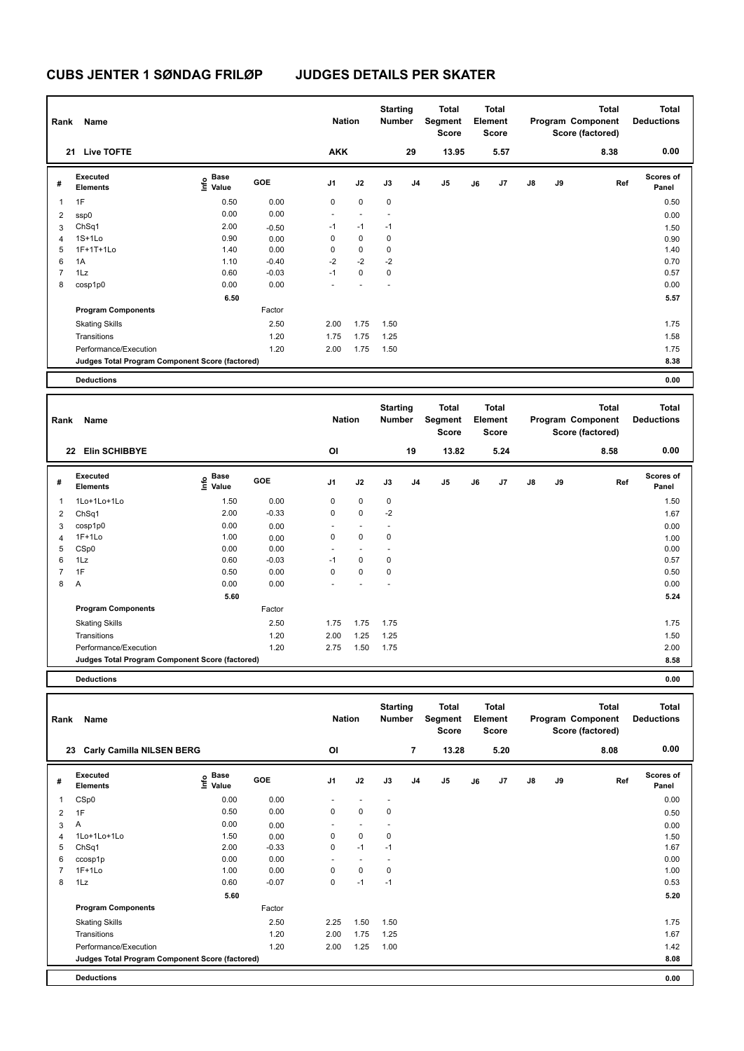| Rank           | Name                                            |                           |         | <b>Nation</b>  |             | <b>Starting</b><br><b>Number</b> |                | Total<br>Segment<br><b>Score</b> |    | <b>Total</b><br>Element<br>Score |               |    | <b>Total</b><br>Program Component<br>Score (factored) | <b>Total</b><br><b>Deductions</b> |
|----------------|-------------------------------------------------|---------------------------|---------|----------------|-------------|----------------------------------|----------------|----------------------------------|----|----------------------------------|---------------|----|-------------------------------------------------------|-----------------------------------|
|                | <b>Live TOFTE</b><br>21                         |                           |         | <b>AKK</b>     |             |                                  | 29             | 13.95                            |    | 5.57                             |               |    | 8.38                                                  | 0.00                              |
| #              | Executed<br><b>Elements</b>                     | Base<br>o Base<br>⊆ Value | GOE     | J <sub>1</sub> | J2          | J3                               | J <sub>4</sub> | J5                               | J6 | J7                               | $\mathsf{J}8$ | J9 | Ref                                                   | <b>Scores of</b><br>Panel         |
| $\overline{1}$ | 1F                                              | 0.50                      | 0.00    | 0              | $\mathbf 0$ | $\mathbf 0$                      |                |                                  |    |                                  |               |    |                                                       | 0.50                              |
| $\overline{2}$ | ssp0                                            | 0.00                      | 0.00    |                |             |                                  |                |                                  |    |                                  |               |    |                                                       | 0.00                              |
| 3              | ChSq1                                           | 2.00                      | $-0.50$ | $-1$           | $-1$        | $-1$                             |                |                                  |    |                                  |               |    |                                                       | 1.50                              |
| $\overline{4}$ | $1S+1Lo$                                        | 0.90                      | 0.00    | 0              | $\mathbf 0$ | 0                                |                |                                  |    |                                  |               |    |                                                       | 0.90                              |
| 5              | 1F+1T+1Lo                                       | 1.40                      | 0.00    | 0              | $\mathbf 0$ | $\mathbf 0$                      |                |                                  |    |                                  |               |    |                                                       | 1.40                              |
| 6              | 1A                                              | 1.10                      | $-0.40$ | $-2$           | $-2$        | $-2$                             |                |                                  |    |                                  |               |    |                                                       | 0.70                              |
| 7              | 1Lz                                             | 0.60                      | $-0.03$ | $-1$           | $\mathbf 0$ | $\mathbf 0$                      |                |                                  |    |                                  |               |    |                                                       | 0.57                              |
| 8              | cosp1p0                                         | 0.00                      | 0.00    |                |             |                                  |                |                                  |    |                                  |               |    |                                                       | 0.00                              |
|                |                                                 | 6.50                      |         |                |             |                                  |                |                                  |    |                                  |               |    |                                                       | 5.57                              |
|                | <b>Program Components</b>                       |                           | Factor  |                |             |                                  |                |                                  |    |                                  |               |    |                                                       |                                   |
|                | <b>Skating Skills</b>                           |                           | 2.50    | 2.00           | 1.75        | 1.50                             |                |                                  |    |                                  |               |    |                                                       | 1.75                              |
|                | Transitions                                     |                           | 1.20    | 1.75           | 1.75        | 1.25                             |                |                                  |    |                                  |               |    |                                                       | 1.58                              |
|                | Performance/Execution                           |                           | 1.20    | 2.00           | 1.75        | 1.50                             |                |                                  |    |                                  |               |    |                                                       | 1.75                              |
|                | Judges Total Program Component Score (factored) |                           |         |                |             |                                  |                |                                  |    |                                  |               |    |                                                       | 8.38                              |
|                | <b>Deductions</b>                               |                           |         |                |             |                                  |                |                                  |    |                                  |               |    |                                                       | 0.00                              |

| Rank           | Name                                            |                                           |         | <b>Nation</b>            |                | <b>Starting</b><br><b>Number</b> |                | <b>Total</b><br>Segment<br><b>Score</b> |    | <b>Total</b><br>Element<br><b>Score</b> |               |    | <b>Total</b><br>Program Component<br>Score (factored) | <b>Total</b><br><b>Deductions</b> |
|----------------|-------------------------------------------------|-------------------------------------------|---------|--------------------------|----------------|----------------------------------|----------------|-----------------------------------------|----|-----------------------------------------|---------------|----|-------------------------------------------------------|-----------------------------------|
|                | <b>Elin SCHIBBYE</b><br>22                      |                                           |         | OI                       |                |                                  | 19             | 13.82                                   |    | 5.24                                    |               |    | 8.58                                                  | 0.00                              |
| #              | Executed<br><b>Elements</b>                     | $\frac{e}{E}$ Base<br>$\frac{e}{E}$ Value | GOE     | J <sub>1</sub>           | J2             | J3                               | J <sub>4</sub> | J <sub>5</sub>                          | J6 | J7                                      | $\mathsf{J}8$ | J9 | Ref                                                   | Scores of<br>Panel                |
| 1              | 1Lo+1Lo+1Lo                                     | 1.50                                      | 0.00    | $\mathbf 0$              | $\mathbf 0$    | $\pmb{0}$                        |                |                                         |    |                                         |               |    |                                                       | 1.50                              |
| 2              | ChSq1                                           | 2.00                                      | $-0.33$ | 0                        | $\pmb{0}$      | $-2$                             |                |                                         |    |                                         |               |    |                                                       | 1.67                              |
| 3              | cosp1p0                                         | 0.00                                      | 0.00    | ٠                        | $\blacksquare$ | $\overline{\phantom{a}}$         |                |                                         |    |                                         |               |    |                                                       | 0.00                              |
| $\overline{4}$ | $1F+1Lo$                                        | 1.00                                      | 0.00    | 0                        | $\mathbf 0$    | 0                                |                |                                         |    |                                         |               |    |                                                       | 1.00                              |
| 5              | CSp0                                            | 0.00                                      | 0.00    | $\overline{\phantom{a}}$ | $\sim$         | ٠                                |                |                                         |    |                                         |               |    |                                                       | 0.00                              |
| 6              | 1Lz                                             | 0.60                                      | $-0.03$ | $-1$                     | $\mathbf 0$    | 0                                |                |                                         |    |                                         |               |    |                                                       | 0.57                              |
| $\overline{7}$ | 1F                                              | 0.50                                      | 0.00    | 0                        | $\mathbf 0$    | $\pmb{0}$                        |                |                                         |    |                                         |               |    |                                                       | 0.50                              |
| 8              | A                                               | 0.00                                      | 0.00    | ÷                        |                |                                  |                |                                         |    |                                         |               |    |                                                       | 0.00                              |
|                |                                                 | 5.60                                      |         |                          |                |                                  |                |                                         |    |                                         |               |    |                                                       | 5.24                              |
|                | <b>Program Components</b>                       |                                           | Factor  |                          |                |                                  |                |                                         |    |                                         |               |    |                                                       |                                   |
|                | <b>Skating Skills</b>                           |                                           | 2.50    | 1.75                     | 1.75           | 1.75                             |                |                                         |    |                                         |               |    |                                                       | 1.75                              |
|                | Transitions                                     |                                           | 1.20    | 2.00                     | 1.25           | 1.25                             |                |                                         |    |                                         |               |    |                                                       | 1.50                              |
|                | Performance/Execution                           |                                           | 1.20    | 2.75                     | 1.50           | 1.75                             |                |                                         |    |                                         |               |    |                                                       | 2.00                              |
|                | Judges Total Program Component Score (factored) |                                           |         |                          |                |                                  |                |                                         |    |                                         |               |    |                                                       | 8.58                              |
|                |                                                 |                                           |         |                          |                |                                  |                |                                         |    |                                         |               |    |                                                       |                                   |

| Rank | Name                                            |                    |            | <b>Nation</b>            |                          | <b>Starting</b><br><b>Number</b> |                | <b>Total</b><br>Segment<br><b>Score</b> |    | <b>Total</b><br>Element<br><b>Score</b> |    |    | <b>Total</b><br>Program Component<br>Score (factored) | <b>Total</b><br><b>Deductions</b> |
|------|-------------------------------------------------|--------------------|------------|--------------------------|--------------------------|----------------------------------|----------------|-----------------------------------------|----|-----------------------------------------|----|----|-------------------------------------------------------|-----------------------------------|
| 23   | <b>Carly Camilla NILSEN BERG</b>                |                    |            | OI                       |                          |                                  | $\overline{7}$ | 13.28                                   |    | 5.20                                    |    |    | 8.08                                                  | 0.00                              |
| #    | Executed<br><b>Elements</b>                     | $\frac{e}{E}$ Base | <b>GOE</b> | J <sub>1</sub>           | J2                       | J3                               | J <sub>4</sub> | J <sub>5</sub>                          | J6 | J <sub>7</sub>                          | J8 | J9 | Ref                                                   | <b>Scores of</b><br>Panel         |
| 1    | CSp0                                            | 0.00               | 0.00       |                          |                          | $\overline{\phantom{a}}$         |                |                                         |    |                                         |    |    |                                                       | 0.00                              |
| 2    | 1F                                              | 0.50               | 0.00       | 0                        | $\mathbf 0$              | 0                                |                |                                         |    |                                         |    |    |                                                       | 0.50                              |
| 3    | Α                                               | 0.00               | 0.00       | $\overline{\phantom{0}}$ | $\overline{\phantom{a}}$ |                                  |                |                                         |    |                                         |    |    |                                                       | 0.00                              |
| 4    | 1Lo+1Lo+1Lo                                     | 1.50               | 0.00       | 0                        | $\mathbf 0$              | 0                                |                |                                         |    |                                         |    |    |                                                       | 1.50                              |
| 5    | ChSq1                                           | 2.00               | $-0.33$    | 0                        | $-1$                     | $-1$                             |                |                                         |    |                                         |    |    |                                                       | 1.67                              |
| 6    | ccosp1p                                         | 0.00               | 0.00       | ٠                        | $\overline{a}$           |                                  |                |                                         |    |                                         |    |    |                                                       | 0.00                              |
|      | $1F+1Lo$                                        | 1.00               | 0.00       | 0                        | $\mathbf 0$              | 0                                |                |                                         |    |                                         |    |    |                                                       | 1.00                              |
| 8    | 1Lz                                             | 0.60               | $-0.07$    | 0                        | $-1$                     | $-1$                             |                |                                         |    |                                         |    |    |                                                       | 0.53                              |
|      |                                                 | 5.60               |            |                          |                          |                                  |                |                                         |    |                                         |    |    |                                                       | 5.20                              |
|      | <b>Program Components</b>                       |                    | Factor     |                          |                          |                                  |                |                                         |    |                                         |    |    |                                                       |                                   |
|      | <b>Skating Skills</b>                           |                    | 2.50       | 2.25                     | 1.50                     | 1.50                             |                |                                         |    |                                         |    |    |                                                       | 1.75                              |
|      | Transitions                                     |                    | 1.20       | 2.00                     | 1.75                     | 1.25                             |                |                                         |    |                                         |    |    |                                                       | 1.67                              |
|      | Performance/Execution                           |                    | 1.20       | 2.00                     | 1.25                     | 1.00                             |                |                                         |    |                                         |    |    |                                                       | 1.42                              |
|      | Judges Total Program Component Score (factored) |                    |            |                          |                          |                                  |                |                                         |    |                                         |    |    |                                                       | 8.08                              |
|      | <b>Deductions</b>                               |                    |            |                          |                          |                                  |                |                                         |    |                                         |    |    |                                                       | 0.00                              |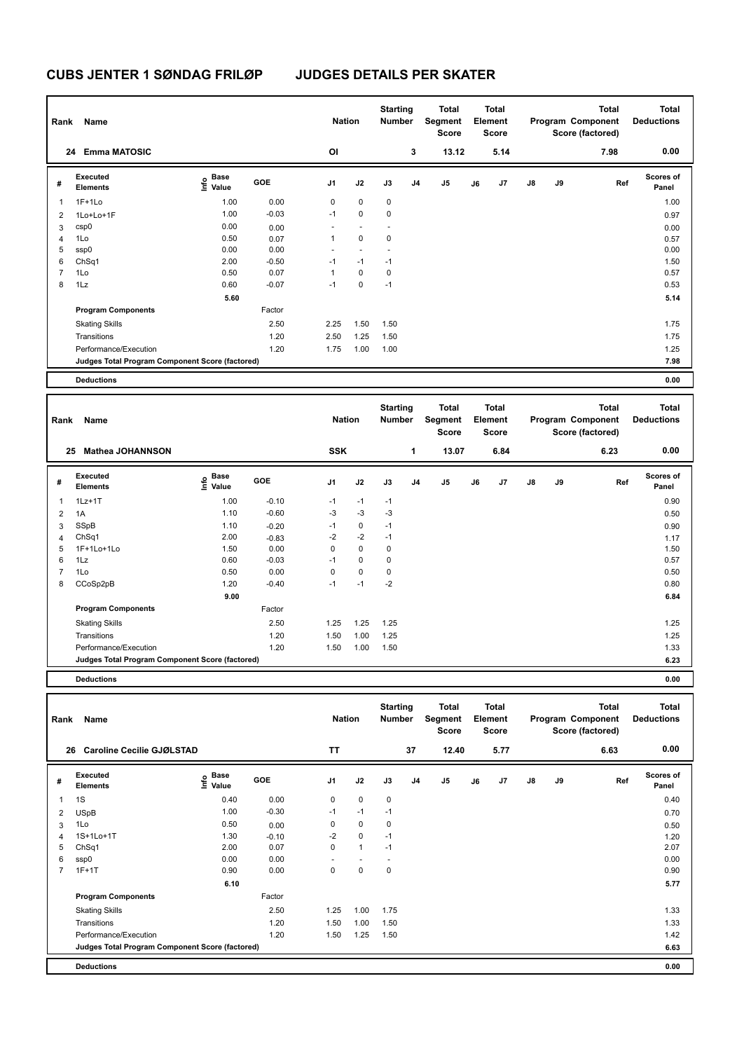| Rank           | Name                                            |                           |         | <b>Nation</b>            |                          | <b>Starting</b><br><b>Number</b> |                | Total<br>Segment<br><b>Score</b> |    | <b>Total</b><br>Element<br><b>Score</b> |               |    | <b>Total</b><br>Program Component<br>Score (factored) | <b>Total</b><br><b>Deductions</b> |
|----------------|-------------------------------------------------|---------------------------|---------|--------------------------|--------------------------|----------------------------------|----------------|----------------------------------|----|-----------------------------------------|---------------|----|-------------------------------------------------------|-----------------------------------|
|                | <b>Emma MATOSIC</b><br>24                       |                           |         | OI                       |                          |                                  | 3              | 13.12                            |    | 5.14                                    |               |    | 7.98                                                  | 0.00                              |
| #              | Executed<br><b>Elements</b>                     | Base<br>o Base<br>⊆ Value | GOE     | J <sub>1</sub>           | J2                       | J3                               | J <sub>4</sub> | J <sub>5</sub>                   | J6 | J7                                      | $\mathsf{J}8$ | J9 | Ref                                                   | <b>Scores of</b><br>Panel         |
| 1              | $1F+1Lo$                                        | 1.00                      | 0.00    | 0                        | 0                        | $\mathbf 0$                      |                |                                  |    |                                         |               |    |                                                       | 1.00                              |
| $\overline{2}$ | 1Lo+Lo+1F                                       | 1.00                      | $-0.03$ | $-1$                     | 0                        | 0                                |                |                                  |    |                                         |               |    |                                                       | 0.97                              |
| 3              | csp0                                            | 0.00                      | 0.00    | $\overline{\phantom{a}}$ | $\overline{\phantom{a}}$ |                                  |                |                                  |    |                                         |               |    |                                                       | 0.00                              |
| $\overline{4}$ | 1Lo                                             | 0.50                      | 0.07    | 1                        | $\mathbf 0$              | 0                                |                |                                  |    |                                         |               |    |                                                       | 0.57                              |
| 5              | ssp0                                            | 0.00                      | 0.00    | $\overline{\phantom{a}}$ |                          |                                  |                |                                  |    |                                         |               |    |                                                       | 0.00                              |
| 6              | ChSq1                                           | 2.00                      | $-0.50$ | $-1$                     | $-1$                     | $-1$                             |                |                                  |    |                                         |               |    |                                                       | 1.50                              |
| $\overline{7}$ | 1Lo                                             | 0.50                      | 0.07    | 1                        | $\mathbf 0$              | 0                                |                |                                  |    |                                         |               |    |                                                       | 0.57                              |
| 8              | 1Lz                                             | 0.60                      | $-0.07$ | $-1$                     | $\mathbf 0$              | $-1$                             |                |                                  |    |                                         |               |    |                                                       | 0.53                              |
|                |                                                 | 5.60                      |         |                          |                          |                                  |                |                                  |    |                                         |               |    |                                                       | 5.14                              |
|                | <b>Program Components</b>                       |                           | Factor  |                          |                          |                                  |                |                                  |    |                                         |               |    |                                                       |                                   |
|                | <b>Skating Skills</b>                           |                           | 2.50    | 2.25                     | 1.50                     | 1.50                             |                |                                  |    |                                         |               |    |                                                       | 1.75                              |
|                | Transitions                                     |                           | 1.20    | 2.50                     | 1.25                     | 1.50                             |                |                                  |    |                                         |               |    |                                                       | 1.75                              |
|                | Performance/Execution                           |                           | 1.20    | 1.75                     | 1.00                     | 1.00                             |                |                                  |    |                                         |               |    |                                                       | 1.25                              |
|                | Judges Total Program Component Score (factored) |                           |         |                          |                          |                                  |                |                                  |    |                                         |               |    |                                                       | 7.98                              |
|                | <b>Deductions</b>                               |                           |         |                          |                          |                                  |                |                                  |    |                                         |               |    |                                                       | 0.00                              |

| Rank           | Name                                            |                                  |         | <b>Nation</b>  |             | <b>Starting</b><br><b>Number</b> |                | Total<br>Segment<br><b>Score</b> |    | Total<br>Element<br><b>Score</b> |               |    | <b>Total</b><br>Program Component<br>Score (factored) | <b>Total</b><br><b>Deductions</b> |
|----------------|-------------------------------------------------|----------------------------------|---------|----------------|-------------|----------------------------------|----------------|----------------------------------|----|----------------------------------|---------------|----|-------------------------------------------------------|-----------------------------------|
| 25             | <b>Mathea JOHANNSON</b>                         |                                  |         | <b>SSK</b>     |             |                                  | 1              | 13.07                            |    | 6.84                             |               |    | 6.23                                                  | 0.00                              |
| #              | Executed<br><b>Elements</b>                     | <b>Base</b><br>o Base<br>⊆ Value | GOE     | J <sub>1</sub> | J2          | J3                               | J <sub>4</sub> | J5                               | J6 | J7                               | $\mathsf{J}8$ | J9 | Ref                                                   | Scores of<br>Panel                |
| $\mathbf 1$    | $1Lz+1T$                                        | 1.00                             | $-0.10$ | $-1$           | $-1$        | $-1$                             |                |                                  |    |                                  |               |    |                                                       | 0.90                              |
| $\overline{2}$ | 1A                                              | 1.10                             | $-0.60$ | $-3$           | $-3$        | $-3$                             |                |                                  |    |                                  |               |    |                                                       | 0.50                              |
| 3              | SSpB                                            | 1.10                             | $-0.20$ | $-1$           | $\mathbf 0$ | $-1$                             |                |                                  |    |                                  |               |    |                                                       | 0.90                              |
| $\overline{4}$ | ChSq1                                           | 2.00                             | $-0.83$ | $-2$           | $-2$        | $-1$                             |                |                                  |    |                                  |               |    |                                                       | 1.17                              |
| 5              | 1F+1Lo+1Lo                                      | 1.50                             | 0.00    | 0              | $\mathbf 0$ | $\mathbf 0$                      |                |                                  |    |                                  |               |    |                                                       | 1.50                              |
| 6              | 1Lz                                             | 0.60                             | $-0.03$ | $-1$           | $\mathbf 0$ | $\mathbf 0$                      |                |                                  |    |                                  |               |    |                                                       | 0.57                              |
| $\overline{7}$ | 1Lo                                             | 0.50                             | 0.00    | 0              | $\mathbf 0$ | $\mathbf 0$                      |                |                                  |    |                                  |               |    |                                                       | 0.50                              |
| 8              | CCoSp2pB                                        | 1.20                             | $-0.40$ | $-1$           | $-1$        | $-2$                             |                |                                  |    |                                  |               |    |                                                       | 0.80                              |
|                |                                                 | 9.00                             |         |                |             |                                  |                |                                  |    |                                  |               |    |                                                       | 6.84                              |
|                | <b>Program Components</b>                       |                                  | Factor  |                |             |                                  |                |                                  |    |                                  |               |    |                                                       |                                   |
|                | <b>Skating Skills</b>                           |                                  | 2.50    | 1.25           | 1.25        | 1.25                             |                |                                  |    |                                  |               |    |                                                       | 1.25                              |
|                | Transitions                                     |                                  | 1.20    | 1.50           | 1.00        | 1.25                             |                |                                  |    |                                  |               |    |                                                       | 1.25                              |
|                | Performance/Execution                           |                                  | 1.20    | 1.50           | 1.00        | 1.50                             |                |                                  |    |                                  |               |    |                                                       | 1.33                              |
|                | Judges Total Program Component Score (factored) |                                  |         |                |             |                                  |                |                                  |    |                                  |               |    |                                                       | 6.23                              |
|                | <b>Deductions</b>                               |                                  |         |                |             |                                  |                |                                  |    |                                  |               |    |                                                       | 0.00                              |

| Rank           | Name                                            |                              |            | <b>Nation</b>  |                | <b>Starting</b><br><b>Number</b> |                | <b>Total</b><br>Segment<br><b>Score</b> |    | <b>Total</b><br>Element<br><b>Score</b> |               |    | <b>Total</b><br>Program Component<br>Score (factored) | <b>Total</b><br><b>Deductions</b> |
|----------------|-------------------------------------------------|------------------------------|------------|----------------|----------------|----------------------------------|----------------|-----------------------------------------|----|-----------------------------------------|---------------|----|-------------------------------------------------------|-----------------------------------|
| 26             | <b>Caroline Cecilie GJØLSTAD</b>                |                              |            | <b>TT</b>      |                |                                  | 37             | 12.40                                   |    | 5.77                                    |               |    | 6.63                                                  | 0.00                              |
| #              | Executed<br><b>Elements</b>                     | <b>Base</b><br>Info<br>Value | <b>GOE</b> | J <sub>1</sub> | J2             | J3                               | J <sub>4</sub> | J <sub>5</sub>                          | J6 | J7                                      | $\mathsf{J}8$ | J9 | Ref                                                   | <b>Scores of</b><br>Panel         |
| 1              | 1S                                              | 0.40                         | 0.00       | 0              | $\mathbf 0$    | $\mathbf 0$                      |                |                                         |    |                                         |               |    |                                                       | 0.40                              |
| $\overline{2}$ | <b>USpB</b>                                     | 1.00                         | $-0.30$    | $-1$           | $-1$           | $-1$                             |                |                                         |    |                                         |               |    |                                                       | 0.70                              |
| 3              | 1Lo                                             | 0.50                         | 0.00       | 0              | $\mathbf 0$    | 0                                |                |                                         |    |                                         |               |    |                                                       | 0.50                              |
| $\overline{4}$ | 1S+1Lo+1T                                       | 1.30                         | $-0.10$    | $-2$           | $\mathbf 0$    | $-1$                             |                |                                         |    |                                         |               |    |                                                       | 1.20                              |
| 5              | ChSq1                                           | 2.00                         | 0.07       | 0              | $\overline{1}$ | $-1$                             |                |                                         |    |                                         |               |    |                                                       | 2.07                              |
| 6              | ssp0                                            | 0.00                         | 0.00       | ٠              |                |                                  |                |                                         |    |                                         |               |    |                                                       | 0.00                              |
| $\overline{7}$ | $1F+1T$                                         | 0.90                         | 0.00       | 0              | $\mathbf 0$    | $\mathbf 0$                      |                |                                         |    |                                         |               |    |                                                       | 0.90                              |
|                |                                                 | 6.10                         |            |                |                |                                  |                |                                         |    |                                         |               |    |                                                       | 5.77                              |
|                | <b>Program Components</b>                       |                              | Factor     |                |                |                                  |                |                                         |    |                                         |               |    |                                                       |                                   |
|                | <b>Skating Skills</b>                           |                              | 2.50       | 1.25           | 1.00           | 1.75                             |                |                                         |    |                                         |               |    |                                                       | 1.33                              |
|                | Transitions                                     |                              | 1.20       | 1.50           | 1.00           | 1.50                             |                |                                         |    |                                         |               |    |                                                       | 1.33                              |
|                | Performance/Execution                           |                              | 1.20       | 1.50           | 1.25           | 1.50                             |                |                                         |    |                                         |               |    |                                                       | 1.42                              |
|                | Judges Total Program Component Score (factored) |                              |            |                |                |                                  |                |                                         |    |                                         |               |    |                                                       | 6.63                              |
|                | <b>Deductions</b>                               |                              |            |                |                |                                  |                |                                         |    |                                         |               |    |                                                       | 0.00                              |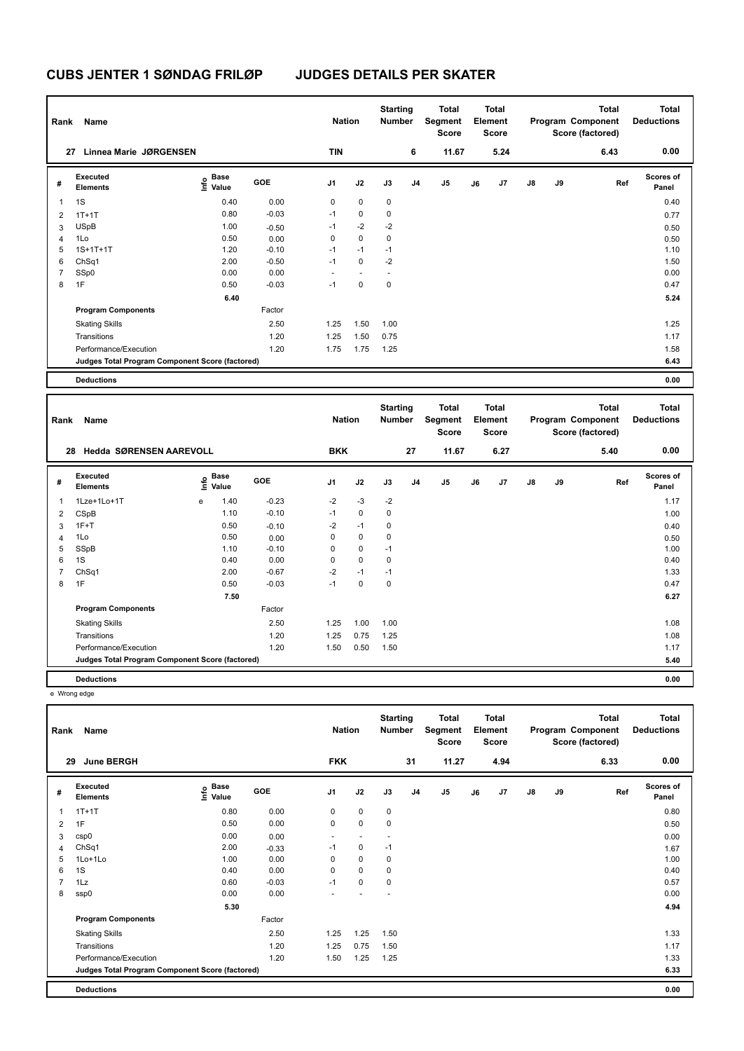| Rank           | Name                                            |                              |         | <b>Nation</b>            |                          | <b>Starting</b><br><b>Number</b> |                | <b>Total</b><br>Segment<br><b>Score</b> |    | <b>Total</b><br>Element<br><b>Score</b> |               |    | <b>Total</b><br>Program Component<br>Score (factored) | <b>Total</b><br><b>Deductions</b> |
|----------------|-------------------------------------------------|------------------------------|---------|--------------------------|--------------------------|----------------------------------|----------------|-----------------------------------------|----|-----------------------------------------|---------------|----|-------------------------------------------------------|-----------------------------------|
| 27             | <b>Linnea Marie JØRGENSEN</b>                   |                              |         | <b>TIN</b>               |                          |                                  | 6              | 11.67                                   |    | 5.24                                    |               |    | 6.43                                                  | 0.00                              |
| #              | Executed<br><b>Elements</b>                     | <b>Base</b><br>Info<br>Value | GOE     | J <sub>1</sub>           | J2                       | J3                               | J <sub>4</sub> | J5                                      | J6 | J7                                      | $\mathsf{J}8$ | J9 | Ref                                                   | <b>Scores of</b><br>Panel         |
| $\overline{1}$ | 1S                                              | 0.40                         | 0.00    | 0                        | $\mathbf 0$              | $\mathbf 0$                      |                |                                         |    |                                         |               |    |                                                       | 0.40                              |
| $\overline{2}$ | $1T+1T$                                         | 0.80                         | $-0.03$ | $-1$                     | $\mathbf 0$              | 0                                |                |                                         |    |                                         |               |    |                                                       | 0.77                              |
| 3              | <b>USpB</b>                                     | 1.00                         | $-0.50$ | $-1$                     | $-2$                     | $-2$                             |                |                                         |    |                                         |               |    |                                                       | 0.50                              |
| $\overline{4}$ | 1Lo                                             | 0.50                         | 0.00    | 0                        | $\mathbf 0$              | 0                                |                |                                         |    |                                         |               |    |                                                       | 0.50                              |
| 5              | $1S+1T+1T$                                      | 1.20                         | $-0.10$ | $-1$                     | $-1$                     | $-1$                             |                |                                         |    |                                         |               |    |                                                       | 1.10                              |
| 6              | ChSq1                                           | 2.00                         | $-0.50$ | $-1$                     | $\mathbf 0$              | $-2$                             |                |                                         |    |                                         |               |    |                                                       | 1.50                              |
| 7              | SSp0                                            | 0.00                         | 0.00    | $\overline{\phantom{a}}$ | $\overline{\phantom{a}}$ |                                  |                |                                         |    |                                         |               |    |                                                       | 0.00                              |
| 8              | 1F                                              | 0.50                         | $-0.03$ | $-1$                     | $\mathbf 0$              | $\mathbf 0$                      |                |                                         |    |                                         |               |    |                                                       | 0.47                              |
|                |                                                 | 6.40                         |         |                          |                          |                                  |                |                                         |    |                                         |               |    |                                                       | 5.24                              |
|                | <b>Program Components</b>                       |                              | Factor  |                          |                          |                                  |                |                                         |    |                                         |               |    |                                                       |                                   |
|                | <b>Skating Skills</b>                           |                              | 2.50    | 1.25                     | 1.50                     | 1.00                             |                |                                         |    |                                         |               |    |                                                       | 1.25                              |
|                | Transitions                                     |                              | 1.20    | 1.25                     | 1.50                     | 0.75                             |                |                                         |    |                                         |               |    |                                                       | 1.17                              |
|                | Performance/Execution                           |                              | 1.20    | 1.75                     | 1.75                     | 1.25                             |                |                                         |    |                                         |               |    |                                                       | 1.58                              |
|                | Judges Total Program Component Score (factored) |                              |         |                          |                          |                                  |                |                                         |    |                                         |               |    |                                                       | 6.43                              |
|                | <b>Deductions</b>                               |                              |         |                          |                          |                                  |                |                                         |    |                                         |               |    |                                                       | 0.00                              |

| Rank           | Name                                            |      |                      |         | <b>Nation</b>  |             | <b>Starting</b><br><b>Number</b> |                | Total<br>Segment<br><b>Score</b> |    | Total<br>Element<br><b>Score</b> |               |    | <b>Total</b><br>Program Component<br>Score (factored) | <b>Total</b><br><b>Deductions</b> |
|----------------|-------------------------------------------------|------|----------------------|---------|----------------|-------------|----------------------------------|----------------|----------------------------------|----|----------------------------------|---------------|----|-------------------------------------------------------|-----------------------------------|
|                | Hedda SØRENSEN AAREVOLL<br>28                   |      |                      |         | <b>BKK</b>     |             |                                  | 27             | 11.67                            |    | 6.27                             |               |    | 5.40                                                  | 0.00                              |
| #              | Executed<br><b>Elements</b>                     | ١nfo | <b>Base</b><br>Value | GOE     | J <sub>1</sub> | J2          | J3                               | J <sub>4</sub> | J <sub>5</sub>                   | J6 | J7                               | $\mathsf{J}8$ | J9 | Ref                                                   | <b>Scores of</b><br>Panel         |
| $\mathbf 1$    | 1Lze+1Lo+1T                                     | e    | 1.40                 | $-0.23$ | $-2$           | $-3$        | $-2$                             |                |                                  |    |                                  |               |    |                                                       | 1.17                              |
| 2              | CSpB                                            |      | 1.10                 | $-0.10$ | $-1$           | $\mathbf 0$ | 0                                |                |                                  |    |                                  |               |    |                                                       | 1.00                              |
| 3              | $1F+T$                                          |      | 0.50                 | $-0.10$ | $-2$           | $-1$        | $\mathbf 0$                      |                |                                  |    |                                  |               |    |                                                       | 0.40                              |
| $\overline{4}$ | 1Lo                                             |      | 0.50                 | 0.00    | 0              | $\mathbf 0$ | 0                                |                |                                  |    |                                  |               |    |                                                       | 0.50                              |
| 5              | SSpB                                            |      | 1.10                 | $-0.10$ | 0              | $\mathbf 0$ | $-1$                             |                |                                  |    |                                  |               |    |                                                       | 1.00                              |
| 6              | 1S                                              |      | 0.40                 | 0.00    | 0              | $\mathbf 0$ | 0                                |                |                                  |    |                                  |               |    |                                                       | 0.40                              |
| $\overline{7}$ | ChSq1                                           |      | 2.00                 | $-0.67$ | $-2$           | $-1$        | $-1$                             |                |                                  |    |                                  |               |    |                                                       | 1.33                              |
| 8              | 1F                                              |      | 0.50                 | $-0.03$ | $-1$           | $\Omega$    | 0                                |                |                                  |    |                                  |               |    |                                                       | 0.47                              |
|                |                                                 |      | 7.50                 |         |                |             |                                  |                |                                  |    |                                  |               |    |                                                       | 6.27                              |
|                | <b>Program Components</b>                       |      |                      | Factor  |                |             |                                  |                |                                  |    |                                  |               |    |                                                       |                                   |
|                | <b>Skating Skills</b>                           |      |                      | 2.50    | 1.25           | 1.00        | 1.00                             |                |                                  |    |                                  |               |    |                                                       | 1.08                              |
|                | Transitions                                     |      |                      | 1.20    | 1.25           | 0.75        | 1.25                             |                |                                  |    |                                  |               |    |                                                       | 1.08                              |
|                | Performance/Execution                           |      |                      | 1.20    | 1.50           | 0.50        | 1.50                             |                |                                  |    |                                  |               |    |                                                       | 1.17                              |
|                | Judges Total Program Component Score (factored) |      |                      |         |                |             |                                  |                |                                  |    |                                  |               |    |                                                       | 5.40                              |
|                | <b>Deductions</b>                               |      |                      |         |                |             |                                  |                |                                  |    |                                  |               |    |                                                       | 0.00                              |

e Wrong edge

| Rank           | Name                                            |                                    |            | <b>Nation</b>  |                          | <b>Starting</b><br><b>Number</b> |                | Total<br>Segment<br><b>Score</b> |    | <b>Total</b><br>Element<br><b>Score</b> |               |    | <b>Total</b><br>Program Component<br>Score (factored) | <b>Total</b><br><b>Deductions</b> |
|----------------|-------------------------------------------------|------------------------------------|------------|----------------|--------------------------|----------------------------------|----------------|----------------------------------|----|-----------------------------------------|---------------|----|-------------------------------------------------------|-----------------------------------|
| 29             | <b>June BERGH</b>                               |                                    |            | <b>FKK</b>     |                          |                                  | 31             | 11.27                            |    | 4.94                                    |               |    | 6.33                                                  | 0.00                              |
| #              | Executed<br><b>Elements</b>                     | <b>Base</b><br>$\frac{6}{5}$ Value | <b>GOE</b> | J <sub>1</sub> | J2                       | J3                               | J <sub>4</sub> | J <sub>5</sub>                   | J6 | J7                                      | $\mathsf{J}8$ | J9 | Ref                                                   | Scores of<br>Panel                |
| 1              | $1T+1T$                                         | 0.80                               | 0.00       | 0              | $\mathbf 0$              | 0                                |                |                                  |    |                                         |               |    |                                                       | 0.80                              |
| $\overline{2}$ | 1F                                              | 0.50                               | 0.00       | 0              | $\mathbf 0$              | $\mathbf 0$                      |                |                                  |    |                                         |               |    |                                                       | 0.50                              |
| 3              | csp0                                            | 0.00                               | 0.00       | ٠              | $\overline{\phantom{a}}$ | ٠                                |                |                                  |    |                                         |               |    |                                                       | 0.00                              |
| $\overline{4}$ | ChSq1                                           | 2.00                               | $-0.33$    | $-1$           | 0                        | $-1$                             |                |                                  |    |                                         |               |    |                                                       | 1.67                              |
| 5              | $1$ Lo $+1$ Lo                                  | 1.00                               | 0.00       | 0              | $\mathbf 0$              | 0                                |                |                                  |    |                                         |               |    |                                                       | 1.00                              |
| 6              | 1S                                              | 0.40                               | 0.00       | 0              | $\mathbf 0$              | 0                                |                |                                  |    |                                         |               |    |                                                       | 0.40                              |
| $\overline{7}$ | 1Lz                                             | 0.60                               | $-0.03$    | $-1$           | $\mathbf 0$              | 0                                |                |                                  |    |                                         |               |    |                                                       | 0.57                              |
| 8              | ssp0                                            | 0.00                               | 0.00       | ٠              |                          | ٠                                |                |                                  |    |                                         |               |    |                                                       | 0.00                              |
|                |                                                 | 5.30                               |            |                |                          |                                  |                |                                  |    |                                         |               |    |                                                       | 4.94                              |
|                | <b>Program Components</b>                       |                                    | Factor     |                |                          |                                  |                |                                  |    |                                         |               |    |                                                       |                                   |
|                | <b>Skating Skills</b>                           |                                    | 2.50       | 1.25           | 1.25                     | 1.50                             |                |                                  |    |                                         |               |    |                                                       | 1.33                              |
|                | Transitions                                     |                                    | 1.20       | 1.25           | 0.75                     | 1.50                             |                |                                  |    |                                         |               |    |                                                       | 1.17                              |
|                | Performance/Execution                           |                                    | 1.20       | 1.50           | 1.25                     | 1.25                             |                |                                  |    |                                         |               |    |                                                       | 1.33                              |
|                | Judges Total Program Component Score (factored) |                                    |            |                |                          |                                  |                |                                  |    |                                         |               |    |                                                       | 6.33                              |
|                | <b>Deductions</b>                               |                                    |            |                |                          |                                  |                |                                  |    |                                         |               |    |                                                       | 0.00                              |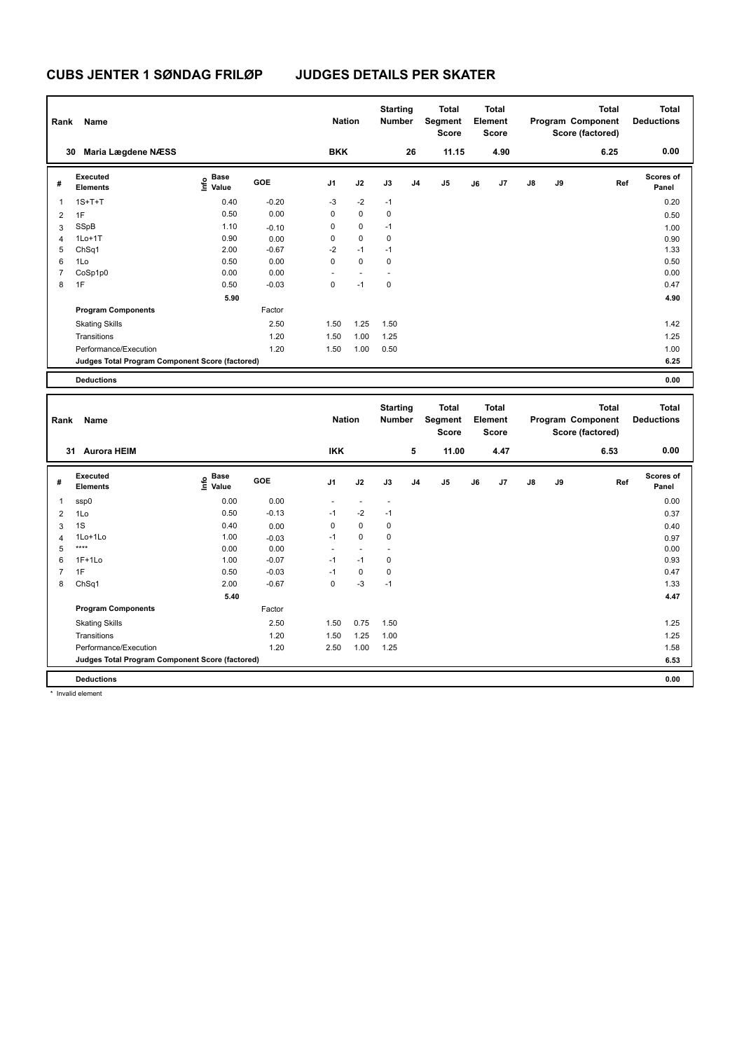| Rank                     | Name                                            |                                  |            | <b>Nation</b>  |                          | <b>Starting</b><br><b>Number</b> |                | <b>Total</b><br>Segment<br>Score |    | <b>Total</b><br>Element<br>Score |               |    | <b>Total</b><br>Program Component<br>Score (factored) | <b>Total</b><br><b>Deductions</b> |
|--------------------------|-------------------------------------------------|----------------------------------|------------|----------------|--------------------------|----------------------------------|----------------|----------------------------------|----|----------------------------------|---------------|----|-------------------------------------------------------|-----------------------------------|
|                          | Maria Lægdene NÆSS<br>30                        |                                  |            | <b>BKK</b>     |                          |                                  | 26             | 11.15                            |    | 4.90                             |               |    | 6.25                                                  | 0.00                              |
| #                        | Executed<br><b>Elements</b>                     | <b>Base</b><br>o Base<br>⊆ Value | <b>GOE</b> | J <sub>1</sub> | J2                       | J3                               | J <sub>4</sub> | J <sub>5</sub>                   | J6 | J7                               | $\mathsf{J}8$ | J9 | Ref                                                   | <b>Scores of</b><br>Panel         |
| $\overline{\phantom{a}}$ | $1S+T+T$                                        | 0.40                             | $-0.20$    | $-3$           | $-2$                     | $-1$                             |                |                                  |    |                                  |               |    |                                                       | 0.20                              |
| $\overline{2}$           | 1F                                              | 0.50                             | 0.00       | 0              | $\mathbf 0$              | 0                                |                |                                  |    |                                  |               |    |                                                       | 0.50                              |
| 3                        | SSpB                                            | 1.10                             | $-0.10$    | 0              | 0                        | $-1$                             |                |                                  |    |                                  |               |    |                                                       | 1.00                              |
| $\overline{4}$           | $1Lo+1T$                                        | 0.90                             | 0.00       | 0              | 0                        | 0                                |                |                                  |    |                                  |               |    |                                                       | 0.90                              |
| 5                        | ChSq1                                           | 2.00                             | $-0.67$    | $-2$           | $-1$                     | $-1$                             |                |                                  |    |                                  |               |    |                                                       | 1.33                              |
| 6                        | 1Lo                                             | 0.50                             | 0.00       | 0              | $\mathbf 0$              | 0                                |                |                                  |    |                                  |               |    |                                                       | 0.50                              |
| 7                        | CoSp1p0                                         | 0.00                             | 0.00       |                | $\overline{\phantom{a}}$ |                                  |                |                                  |    |                                  |               |    |                                                       | 0.00                              |
| 8                        | 1F                                              | 0.50                             | $-0.03$    | 0              | $-1$                     | 0                                |                |                                  |    |                                  |               |    |                                                       | 0.47                              |
|                          |                                                 | 5.90                             |            |                |                          |                                  |                |                                  |    |                                  |               |    |                                                       | 4.90                              |
|                          | <b>Program Components</b>                       |                                  | Factor     |                |                          |                                  |                |                                  |    |                                  |               |    |                                                       |                                   |
|                          | <b>Skating Skills</b>                           |                                  | 2.50       | 1.50           | 1.25                     | 1.50                             |                |                                  |    |                                  |               |    |                                                       | 1.42                              |
|                          | Transitions                                     |                                  | 1.20       | 1.50           | 1.00                     | 1.25                             |                |                                  |    |                                  |               |    |                                                       | 1.25                              |
|                          | Performance/Execution                           |                                  | 1.20       | 1.50           | 1.00                     | 0.50                             |                |                                  |    |                                  |               |    |                                                       | 1.00                              |
|                          | Judges Total Program Component Score (factored) |                                  |            |                |                          |                                  |                |                                  |    |                                  |               |    |                                                       | 6.25                              |
|                          | <b>Deductions</b>                               |                                  |            |                |                          |                                  |                |                                  |    |                                  |               |    |                                                       | 0.00                              |

| Rank           | Name                                            |                           |            | <b>Nation</b>  |             | <b>Starting</b><br><b>Number</b> |                | <b>Total</b><br>Segment<br><b>Score</b> |    | <b>Total</b><br>Element<br><b>Score</b> |               |    | <b>Total</b><br>Program Component<br>Score (factored) | <b>Total</b><br><b>Deductions</b> |
|----------------|-------------------------------------------------|---------------------------|------------|----------------|-------------|----------------------------------|----------------|-----------------------------------------|----|-----------------------------------------|---------------|----|-------------------------------------------------------|-----------------------------------|
|                | <b>Aurora HEIM</b><br>31                        |                           |            | <b>IKK</b>     |             |                                  | 5              | 11.00                                   |    | 4.47                                    |               |    | 6.53                                                  | 0.00                              |
| #              | Executed<br><b>Elements</b>                     | Base<br>o Base<br>⊆ Value | <b>GOE</b> | J <sub>1</sub> | J2          | J3                               | J <sub>4</sub> | J <sub>5</sub>                          | J6 | J7                                      | $\mathsf{J}8$ | J9 | Ref                                                   | <b>Scores of</b><br>Panel         |
|                | ssp0                                            | 0.00                      | 0.00       | ٠              | $\sim$      | $\overline{\phantom{a}}$         |                |                                         |    |                                         |               |    |                                                       | 0.00                              |
| $\overline{2}$ | 1Lo                                             | 0.50                      | $-0.13$    | $-1$           | $-2$        | $-1$                             |                |                                         |    |                                         |               |    |                                                       | 0.37                              |
| 3              | 1S                                              | 0.40                      | 0.00       | 0              | 0           | 0                                |                |                                         |    |                                         |               |    |                                                       | 0.40                              |
| $\overline{4}$ | 1Lo+1Lo                                         | 1.00                      | $-0.03$    | $-1$           | $\mathbf 0$ | 0                                |                |                                         |    |                                         |               |    |                                                       | 0.97                              |
| 5              | ****                                            | 0.00                      | 0.00       | $\overline{a}$ | $\sim$      |                                  |                |                                         |    |                                         |               |    |                                                       | 0.00                              |
| 6              | $1F+1Lo$                                        | 1.00                      | $-0.07$    | $-1$           | $-1$        | 0                                |                |                                         |    |                                         |               |    |                                                       | 0.93                              |
|                | 1F                                              | 0.50                      | $-0.03$    | $-1$           | $\mathbf 0$ | 0                                |                |                                         |    |                                         |               |    |                                                       | 0.47                              |
| 8              | ChSq1                                           | 2.00                      | $-0.67$    | $\mathbf 0$    | $-3$        | $-1$                             |                |                                         |    |                                         |               |    |                                                       | 1.33                              |
|                |                                                 | 5.40                      |            |                |             |                                  |                |                                         |    |                                         |               |    |                                                       | 4.47                              |
|                | <b>Program Components</b>                       |                           | Factor     |                |             |                                  |                |                                         |    |                                         |               |    |                                                       |                                   |
|                | <b>Skating Skills</b>                           |                           | 2.50       | 1.50           | 0.75        | 1.50                             |                |                                         |    |                                         |               |    |                                                       | 1.25                              |
|                | Transitions                                     |                           | 1.20       | 1.50           | 1.25        | 1.00                             |                |                                         |    |                                         |               |    |                                                       | 1.25                              |
|                | Performance/Execution                           |                           | 1.20       | 2.50           | 1.00        | 1.25                             |                |                                         |    |                                         |               |    |                                                       | 1.58                              |
|                | Judges Total Program Component Score (factored) |                           |            |                |             |                                  |                |                                         |    |                                         |               |    |                                                       | 6.53                              |
|                | <b>Deductions</b>                               |                           |            |                |             |                                  |                |                                         |    |                                         |               |    |                                                       | 0.00                              |

\* Invalid element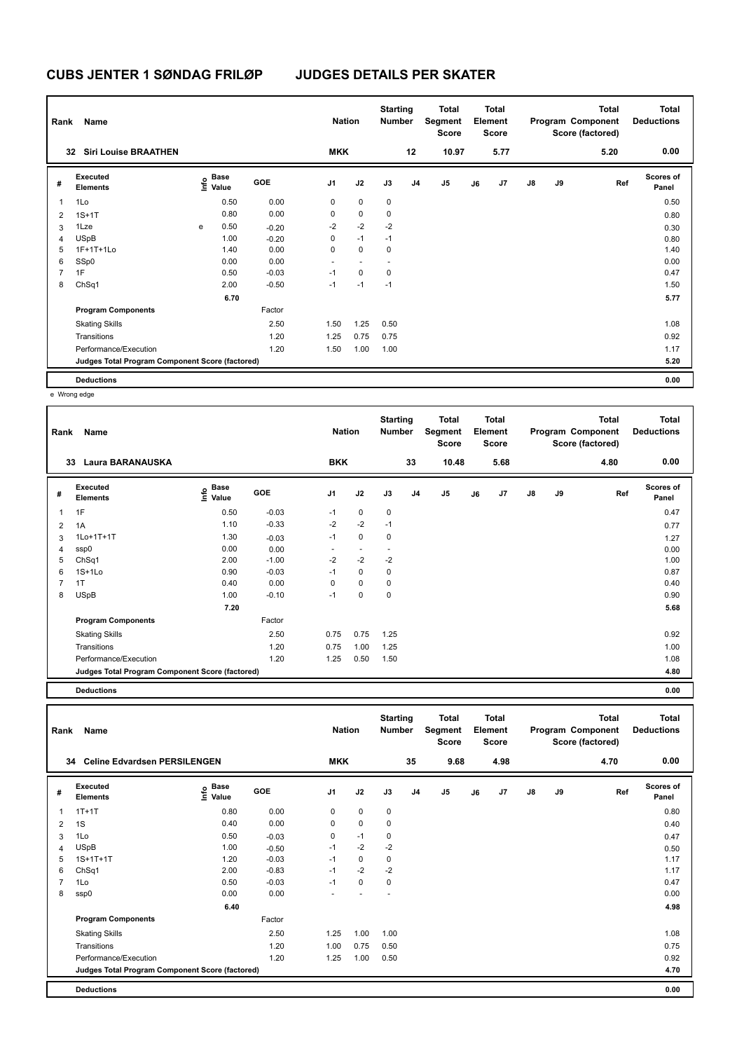| Rank           | Name                                            |   |                           |         | <b>Nation</b>  |             | <b>Starting</b><br><b>Number</b> |                | <b>Total</b><br>Segment<br><b>Score</b> |    | <b>Total</b><br>Element<br><b>Score</b> |               |    | <b>Total</b><br>Program Component<br>Score (factored) | <b>Total</b><br><b>Deductions</b> |
|----------------|-------------------------------------------------|---|---------------------------|---------|----------------|-------------|----------------------------------|----------------|-----------------------------------------|----|-----------------------------------------|---------------|----|-------------------------------------------------------|-----------------------------------|
|                | <b>Siri Louise BRAATHEN</b><br>32               |   |                           |         | <b>MKK</b>     |             |                                  | 12             | 10.97                                   |    | 5.77                                    |               |    | 5.20                                                  | 0.00                              |
| #              | Executed<br><b>Elements</b>                     |   | Base<br>o Base<br>⊆ Value | GOE     | J <sub>1</sub> | J2          | J3                               | J <sub>4</sub> | J <sub>5</sub>                          | J6 | J7                                      | $\mathsf{J}8$ | J9 | Ref                                                   | <b>Scores of</b><br>Panel         |
| $\mathbf{1}$   | 1Lo                                             |   | 0.50                      | 0.00    | 0              | $\mathbf 0$ | 0                                |                |                                         |    |                                         |               |    |                                                       | 0.50                              |
| $\overline{2}$ | $1S+1T$                                         |   | 0.80                      | 0.00    | 0              | 0           | 0                                |                |                                         |    |                                         |               |    |                                                       | 0.80                              |
| 3              | 1Lze                                            | e | 0.50                      | $-0.20$ | $-2$           | $-2$        | $-2$                             |                |                                         |    |                                         |               |    |                                                       | 0.30                              |
| 4              | <b>USpB</b>                                     |   | 1.00                      | $-0.20$ | 0              | $-1$        | $-1$                             |                |                                         |    |                                         |               |    |                                                       | 0.80                              |
| 5              | 1F+1T+1Lo                                       |   | 1.40                      | 0.00    | 0              | $\mathbf 0$ | 0                                |                |                                         |    |                                         |               |    |                                                       | 1.40                              |
| 6              | SSp0                                            |   | 0.00                      | 0.00    | ٠              |             |                                  |                |                                         |    |                                         |               |    |                                                       | 0.00                              |
| $\overline{7}$ | 1F                                              |   | 0.50                      | $-0.03$ | $-1$           | $\mathbf 0$ | 0                                |                |                                         |    |                                         |               |    |                                                       | 0.47                              |
| 8              | ChSq1                                           |   | 2.00                      | $-0.50$ | $-1$           | $-1$        | $-1$                             |                |                                         |    |                                         |               |    |                                                       | 1.50                              |
|                |                                                 |   | 6.70                      |         |                |             |                                  |                |                                         |    |                                         |               |    |                                                       | 5.77                              |
|                | <b>Program Components</b>                       |   |                           | Factor  |                |             |                                  |                |                                         |    |                                         |               |    |                                                       |                                   |
|                | <b>Skating Skills</b>                           |   |                           | 2.50    | 1.50           | 1.25        | 0.50                             |                |                                         |    |                                         |               |    |                                                       | 1.08                              |
|                | Transitions                                     |   |                           | 1.20    | 1.25           | 0.75        | 0.75                             |                |                                         |    |                                         |               |    |                                                       | 0.92                              |
|                | Performance/Execution                           |   |                           | 1.20    | 1.50           | 1.00        | 1.00                             |                |                                         |    |                                         |               |    |                                                       | 1.17                              |
|                | Judges Total Program Component Score (factored) |   |                           |         |                |             |                                  |                |                                         |    |                                         |               |    |                                                       | 5.20                              |
|                | <b>Deductions</b>                               |   |                           |         |                |             |                                  |                |                                         |    |                                         |               |    |                                                       | 0.00                              |

e Wrong edge

| Rank | Name                                            |                    |         | <b>Nation</b>  |             | <b>Starting</b><br><b>Number</b> |                | <b>Total</b><br>Segment<br><b>Score</b> |    | <b>Total</b><br>Element<br>Score |               |    | <b>Total</b><br>Program Component<br>Score (factored) | <b>Total</b><br><b>Deductions</b> |
|------|-------------------------------------------------|--------------------|---------|----------------|-------------|----------------------------------|----------------|-----------------------------------------|----|----------------------------------|---------------|----|-------------------------------------------------------|-----------------------------------|
|      | <b>Laura BARANAUSKA</b><br>33                   |                    |         | <b>BKK</b>     |             |                                  | 33             | 10.48                                   |    | 5.68                             |               |    | 4.80                                                  | 0.00                              |
| #    | Executed<br><b>Elements</b>                     | $\frac{e}{E}$ Base | GOE     | J <sub>1</sub> | J2          | J3                               | J <sub>4</sub> | J <sub>5</sub>                          | J6 | J7                               | $\mathsf{J}8$ | J9 | Ref                                                   | <b>Scores of</b><br>Panel         |
| 1    | 1F                                              | 0.50               | $-0.03$ | $-1$           | 0           | $\mathbf 0$                      |                |                                         |    |                                  |               |    |                                                       | 0.47                              |
| 2    | 1A                                              | 1.10               | $-0.33$ | $-2$           | $-2$        | $-1$                             |                |                                         |    |                                  |               |    |                                                       | 0.77                              |
| 3    | 1Lo+1T+1T                                       | 1.30               | $-0.03$ | $-1$           | 0           | 0                                |                |                                         |    |                                  |               |    |                                                       | 1.27                              |
| 4    | ssp0                                            | 0.00               | 0.00    |                |             |                                  |                |                                         |    |                                  |               |    |                                                       | 0.00                              |
| 5    | ChSq1                                           | 2.00               | $-1.00$ | $-2$           | $-2$        | $-2$                             |                |                                         |    |                                  |               |    |                                                       | 1.00                              |
| 6    | $1S+1L0$                                        | 0.90               | $-0.03$ | $-1$           | $\mathbf 0$ | 0                                |                |                                         |    |                                  |               |    |                                                       | 0.87                              |
| 7    | 1T                                              | 0.40               | 0.00    | $\Omega$       | $\mathbf 0$ | 0                                |                |                                         |    |                                  |               |    |                                                       | 0.40                              |
| 8    | <b>USpB</b>                                     | 1.00               | $-0.10$ | $-1$           | $\mathbf 0$ | 0                                |                |                                         |    |                                  |               |    |                                                       | 0.90                              |
|      |                                                 | 7.20               |         |                |             |                                  |                |                                         |    |                                  |               |    |                                                       | 5.68                              |
|      | <b>Program Components</b>                       |                    | Factor  |                |             |                                  |                |                                         |    |                                  |               |    |                                                       |                                   |
|      | <b>Skating Skills</b>                           |                    | 2.50    | 0.75           | 0.75        | 1.25                             |                |                                         |    |                                  |               |    |                                                       | 0.92                              |
|      | Transitions                                     |                    | 1.20    | 0.75           | 1.00        | 1.25                             |                |                                         |    |                                  |               |    |                                                       | 1.00                              |
|      | Performance/Execution                           |                    | 1.20    | 1.25           | 0.50        | 1.50                             |                |                                         |    |                                  |               |    |                                                       | 1.08                              |
|      | Judges Total Program Component Score (factored) |                    |         |                |             |                                  |                |                                         |    |                                  |               |    |                                                       | 4.80                              |
|      |                                                 |                    |         |                |             |                                  |                |                                         |    |                                  |               |    |                                                       |                                   |

**Deductions 0.00**

**Total Deductions Total Program Component Score (factored) Total Element Segment Score Total Score Starting Rank Name Nation Number # Executed Elements Base Value GOE J1 J2 J3 J4 J5 J6 J7 J8 J9 Scores of Panel** 1 0.80 0.00 0 0 0 **Ref**  1T+1T 0.80 **Info 34 Celine Edvardsen PERSILENGEN MKK 35 9.68 4.98 4.70 0.00** 2 1S 0.40 0.00 0 0 0 0.40 3 1Lo 0.50 -0.03 0 -1 0 0.47 4 USpB 1.00 -0.50 -1 -2 -2 0.50 5 1S+1T+1T 1.20 -0.03 -1 0 0 1.17 6 ChSq1 2.00 -0.83 -1 -2 -2 1.17 7 1Lo 0.50 -0.03 -1 0 0 0.47 8 ssp0 0.00 0.00 - - - 0.00  **6.40 4.98 Program Components**  Skating Skills 1.00 1.00 1.00 1.00 Factor 2.50 1.08 Transitions 1.20 1.00 0.75 0.50 0.75 Performance/Execution 0.92 0.92 1.20 1.25 1.00 0.50 0.92 **Deductions 0.00 Judges Total Program Component Score (factored) 4.70**